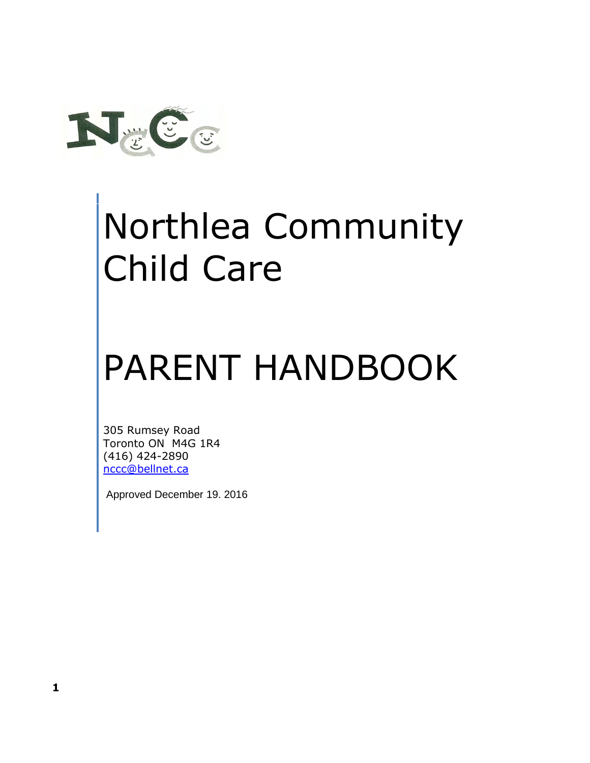

# Northlea Community Child Care

# PARENT HANDBOOK

305 Rumsey Road Toronto ON M4G 1R4 (416) 424-2890 [nccc@bellnet.ca](mailto:nccc@bellnet.ca)

Approved December 19. 2016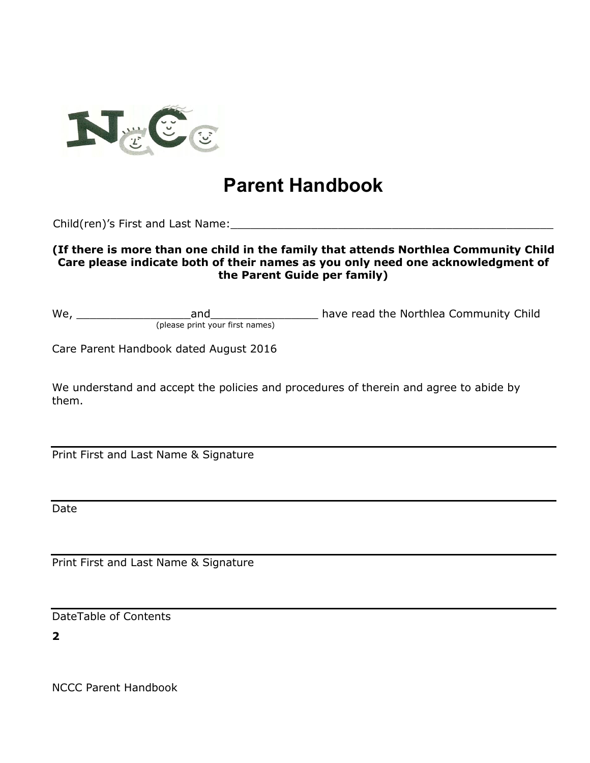

# **Parent Handbook**

Child(ren)'s First and Last Name:

#### **(If there is more than one child in the family that attends Northlea Community Child Care please indicate both of their names as you only need one acknowledgment of the Parent Guide per family)**

We, \_\_\_\_\_\_\_\_\_\_\_\_\_\_\_\_\_and\_\_\_\_\_\_\_\_\_\_\_\_\_\_\_\_ have read the Northlea Community Child (please print your first names)

Care Parent Handbook dated August 2016

We understand and accept the policies and procedures of therein and agree to abide by them.

Print First and Last Name & Signature

Date

Print First and Last Name & Signature

DateTable of Contents

**2**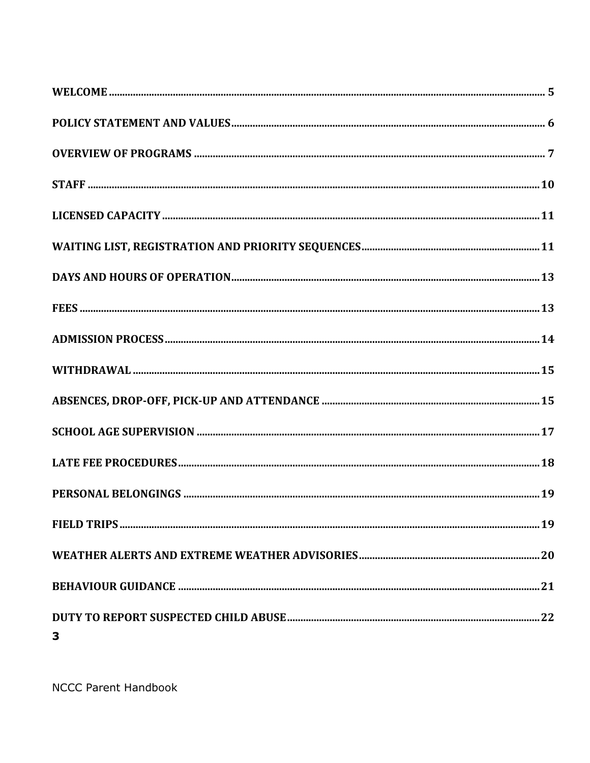| 3 |  |
|---|--|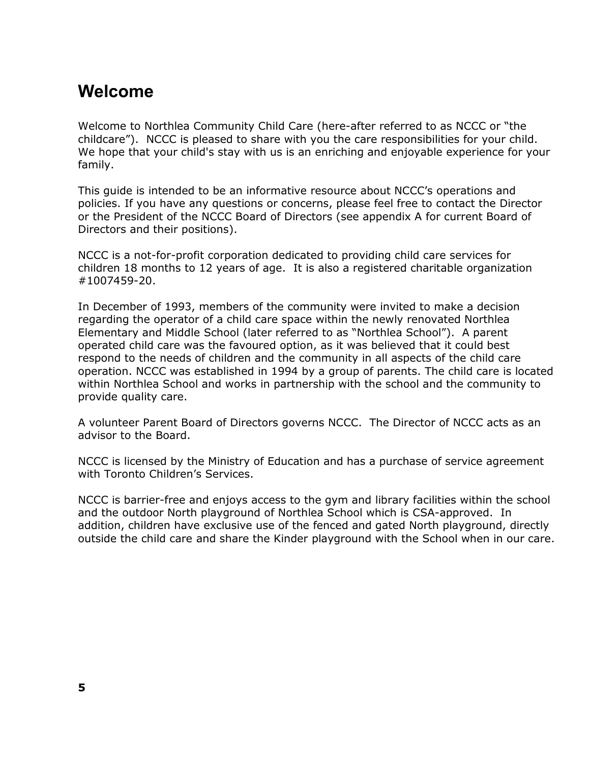### **Welcome**

Welcome to Northlea Community Child Care (here-after referred to as NCCC or "the childcare"). NCCC is pleased to share with you the care responsibilities for your child. We hope that your child's stay with us is an enriching and enjoyable experience for your family.

This guide is intended to be an informative resource about NCCC's operations and policies. If you have any questions or concerns, please feel free to contact the Director or the President of the NCCC Board of Directors (see appendix A for current Board of Directors and their positions).

NCCC is a not-for-profit corporation dedicated to providing child care services for children 18 months to 12 years of age. It is also a registered charitable organization #1007459-20.

In December of 1993, members of the community were invited to make a decision regarding the operator of a child care space within the newly renovated Northlea Elementary and Middle School (later referred to as "Northlea School"). A parent operated child care was the favoured option, as it was believed that it could best respond to the needs of children and the community in all aspects of the child care operation. NCCC was established in 1994 by a group of parents. The child care is located within Northlea School and works in partnership with the school and the community to provide quality care.

A volunteer Parent Board of Directors governs NCCC. The Director of NCCC acts as an advisor to the Board.

NCCC is licensed by the Ministry of Education and has a purchase of service agreement with Toronto Children's Services.

NCCC is barrier-free and enjoys access to the gym and library facilities within the school and the outdoor North playground of Northlea School which is CSA-approved. In addition, children have exclusive use of the fenced and gated North playground, directly outside the child care and share the Kinder playground with the School when in our care.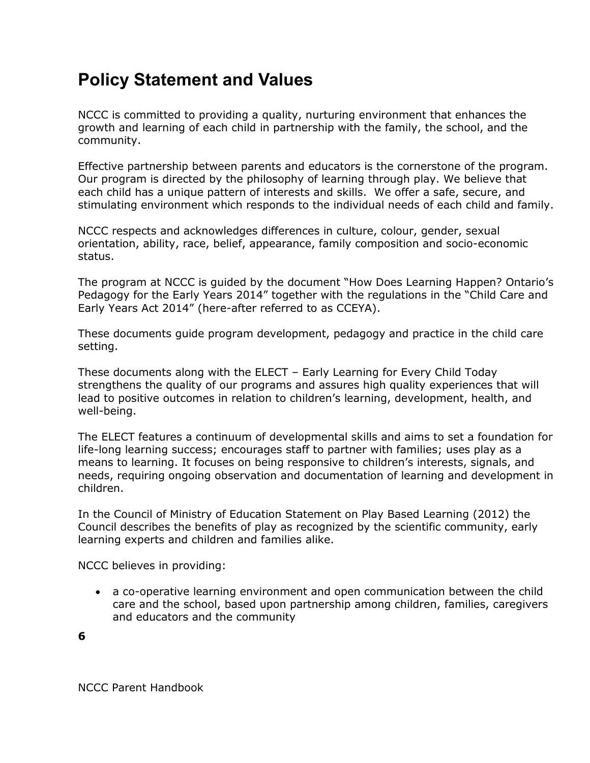# **Policy Statement and Values**

NCCC is committed to providing a quality, nurturing environment that enhances the growth and learning of each child in partnership with the family, the school, and the community.

Effective partnership between parents and educators is the cornerstone of the program. Our program is directed by the philosophy of learning through play. We believe that each child has a unique pattern of interests and skills. We offer a safe, secure, and stimulating environment which responds to the individual needs of each child and family.

NCCC respects and acknowledges differences in culture, colour, gender, sexual orientation, ability, race, belief, appearance, family composition and socio-economic status.

The program at NCCC is guided by the document "How Does Learning Happen? Ontario's Pedagogy for the Early Years 2014" together with the regulations in the "Child Care and Early Years Act 2014" (here-after referred to as CCEYA).

These documents guide program development, pedagogy and practice in the child care setting.

These documents along with the ELECT – Early Learning for Every Child Today strengthens the quality of our programs and assures high quality experiences that will lead to positive outcomes in relation to children's learning, development, health, and well-being.

The ELECT features a continuum of developmental skills and aims to set a foundation for life-long learning success; encourages staff to partner with families; uses play as a means to learning. It focuses on being responsive to children's interests, signals, and needs, requiring ongoing observation and documentation of learning and development in children.

In the Council of Ministry of Education Statement on Play Based Learning (2012) the Council describes the benefits of play as recognized by the scientific community, early learning experts and children and families alike.

NCCC believes in providing:

• a co-operative learning environment and open communication between the child care and the school, based upon partnership among children, families, caregivers and educators and the community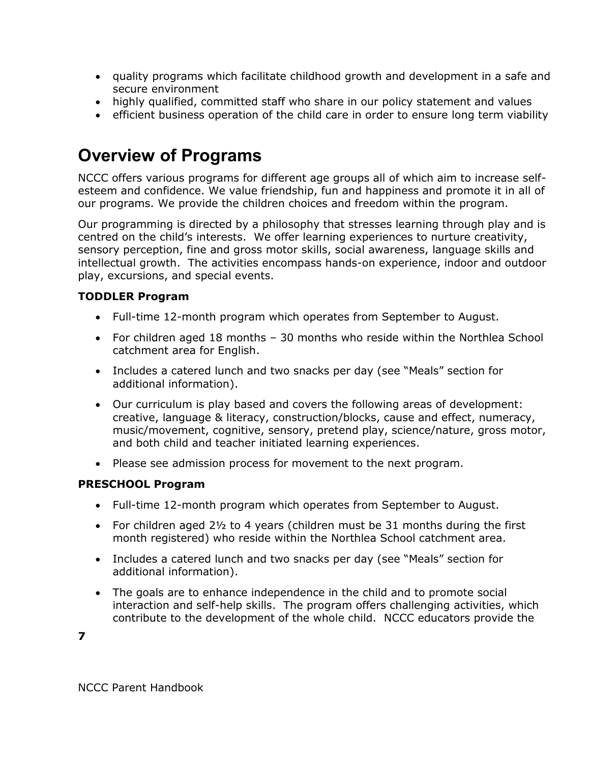- quality programs which facilitate childhood growth and development in a safe and secure environment
- highly qualified, committed staff who share in our policy statement and values
- efficient business operation of the child care in order to ensure long term viability

# **Overview of Programs**

NCCC offers various programs for different age groups all of which aim to increase selfesteem and confidence. We value friendship, fun and happiness and promote it in all of our programs. We provide the children choices and freedom within the program.

Our programming is directed by a philosophy that stresses learning through play and is centred on the child's interests. We offer learning experiences to nurture creativity, sensory perception, fine and gross motor skills, social awareness, language skills and intellectual growth. The activities encompass hands-on experience, indoor and outdoor play, excursions, and special events.

#### **TODDLER Program**

- Full-time 12-month program which operates from September to August.
- For children aged 18 months 30 months who reside within the Northlea School catchment area for English.
- Includes a catered lunch and two snacks per day (see "Meals" section for additional information).
- Our curriculum is play based and covers the following areas of development: creative, language & literacy, construction/blocks, cause and effect, numeracy, music/movement, cognitive, sensory, pretend play, science/nature, gross motor, and both child and teacher initiated learning experiences.
- Please see admission process for movement to the next program.

#### **PRESCHOOL Program**

- Full-time 12-month program which operates from September to August.
- For children aged 2½ to 4 years (children must be 31 months during the first month registered) who reside within the Northlea School catchment area.
- Includes a catered lunch and two snacks per day (see "Meals" section for additional information).
- The goals are to enhance independence in the child and to promote social interaction and self-help skills. The program offers challenging activities, which contribute to the development of the whole child. NCCC educators provide the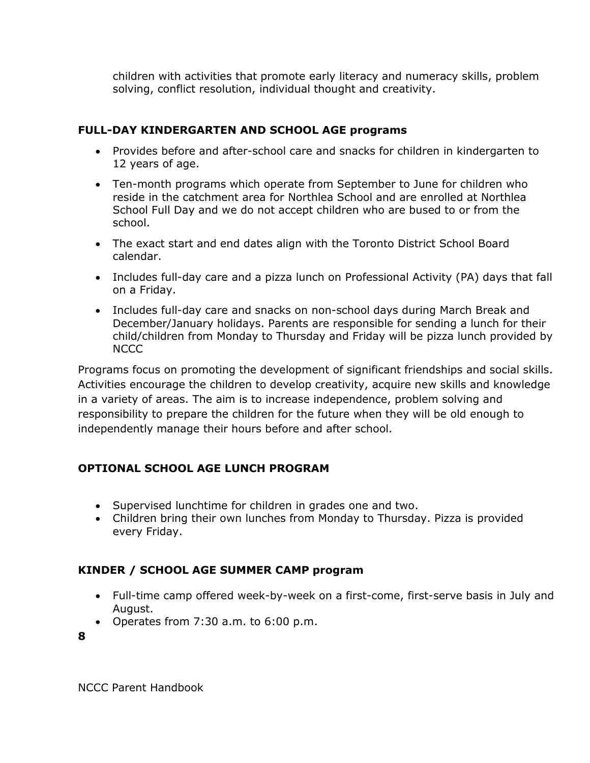children with activities that promote early literacy and numeracy skills, problem solving, conflict resolution, individual thought and creativity.

#### **FULL-DAY KINDERGARTEN AND SCHOOL AGE programs**

- Provides before and after-school care and snacks for children in kindergarten to 12 years of age.
- Ten-month programs which operate from September to June for children who reside in the catchment area for Northlea School and are enrolled at Northlea School Full Day and we do not accept children who are bused to or from the school.
- The exact start and end dates align with the Toronto District School Board calendar.
- Includes full-day care and a pizza lunch on Professional Activity (PA) days that fall on a Friday.
- Includes full-day care and snacks on non-school days during March Break and December/January holidays. Parents are responsible for sending a lunch for their child/children from Monday to Thursday and Friday will be pizza lunch provided by NCCC

Programs focus on promoting the development of significant friendships and social skills. Activities encourage the children to develop creativity, acquire new skills and knowledge in a variety of areas. The aim is to increase independence, problem solving and responsibility to prepare the children for the future when they will be old enough to independently manage their hours before and after school.

#### **OPTIONAL SCHOOL AGE LUNCH PROGRAM**

- Supervised lunchtime for children in grades one and two.
- Children bring their own lunches from Monday to Thursday. Pizza is provided every Friday.

#### **KINDER / SCHOOL AGE SUMMER CAMP program**

- Full-time camp offered week-by-week on a first-come, first-serve basis in July and August.
- Operates from 7:30 a.m. to 6:00 p.m.

**8**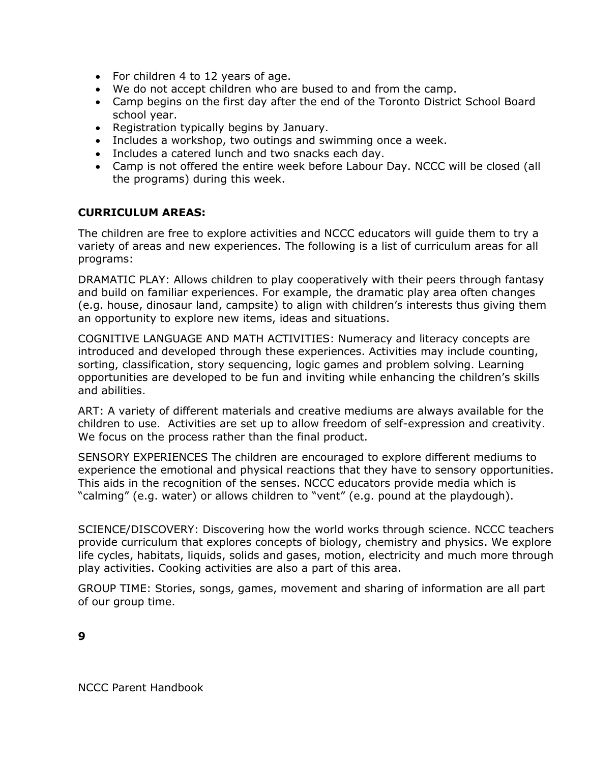- For children 4 to 12 years of age.
- We do not accept children who are bused to and from the camp.
- Camp begins on the first day after the end of the Toronto District School Board school year.
- Registration typically begins by January.
- Includes a workshop, two outings and swimming once a week.
- Includes a catered lunch and two snacks each day.
- Camp is not offered the entire week before Labour Day. NCCC will be closed (all the programs) during this week.

#### **CURRICULUM AREAS:**

The children are free to explore activities and NCCC educators will guide them to try a variety of areas and new experiences. The following is a list of curriculum areas for all programs:

DRAMATIC PLAY: Allows children to play cooperatively with their peers through fantasy and build on familiar experiences. For example, the dramatic play area often changes (e.g. house, dinosaur land, campsite) to align with children's interests thus giving them an opportunity to explore new items, ideas and situations.

COGNITIVE LANGUAGE AND MATH ACTIVITIES: Numeracy and literacy concepts are introduced and developed through these experiences. Activities may include counting, sorting, classification, story sequencing, logic games and problem solving. Learning opportunities are developed to be fun and inviting while enhancing the children's skills and abilities.

ART: A variety of different materials and creative mediums are always available for the children to use. Activities are set up to allow freedom of self-expression and creativity. We focus on the process rather than the final product.

SENSORY EXPERIENCES The children are encouraged to explore different mediums to experience the emotional and physical reactions that they have to sensory opportunities. This aids in the recognition of the senses. NCCC educators provide media which is "calming" (e.g. water) or allows children to "vent" (e.g. pound at the playdough).

SCIENCE/DISCOVERY: Discovering how the world works through science. NCCC teachers provide curriculum that explores concepts of biology, chemistry and physics. We explore life cycles, habitats, liquids, solids and gases, motion, electricity and much more through play activities. Cooking activities are also a part of this area.

GROUP TIME: Stories, songs, games, movement and sharing of information are all part of our group time.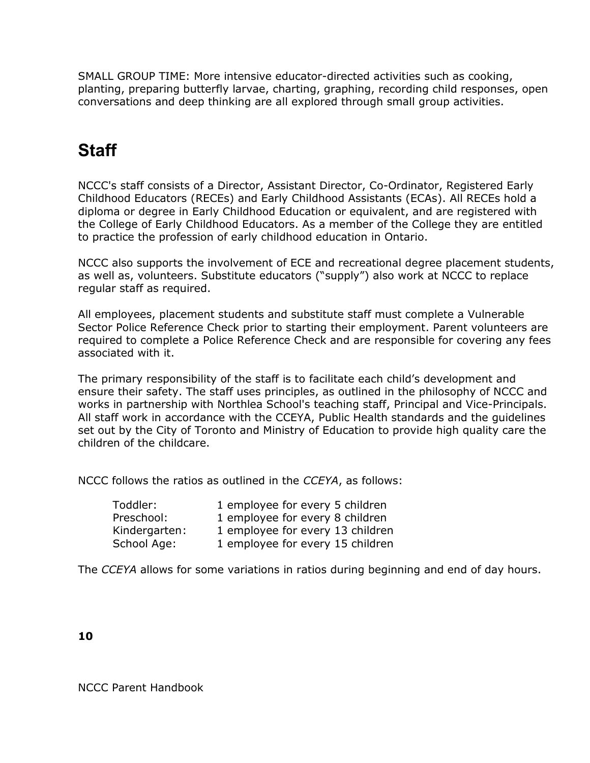SMALL GROUP TIME: More intensive educator-directed activities such as cooking, planting, preparing butterfly larvae, charting, graphing, recording child responses, open conversations and deep thinking are all explored through small group activities.

# **Staff**

NCCC's staff consists of a Director, Assistant Director, Co-Ordinator, Registered Early Childhood Educators (RECEs) and Early Childhood Assistants (ECAs). All RECEs hold a diploma or degree in Early Childhood Education or equivalent, and are registered with the College of Early Childhood Educators. As a member of the College they are entitled to practice the profession of early childhood education in Ontario.

NCCC also supports the involvement of ECE and recreational degree placement students, as well as, volunteers. Substitute educators ("supply") also work at NCCC to replace regular staff as required.

All employees, placement students and substitute staff must complete a Vulnerable Sector Police Reference Check prior to starting their employment. Parent volunteers are required to complete a Police Reference Check and are responsible for covering any fees associated with it.

The primary responsibility of the staff is to facilitate each child's development and ensure their safety. The staff uses principles, as outlined in the philosophy of NCCC and works in partnership with Northlea School's teaching staff, Principal and Vice-Principals. All staff work in accordance with the CCEYA, Public Health standards and the guidelines set out by the City of Toronto and Ministry of Education to provide high quality care the children of the childcare.

NCCC follows the ratios as outlined in the *CCEYA*, as follows:

| Toddler:      | 1 employee for every 5 children  |
|---------------|----------------------------------|
| Preschool:    | 1 employee for every 8 children  |
| Kindergarten: | 1 employee for every 13 children |
| School Age:   | 1 employee for every 15 children |

The *CCEYA* allows for some variations in ratios during beginning and end of day hours.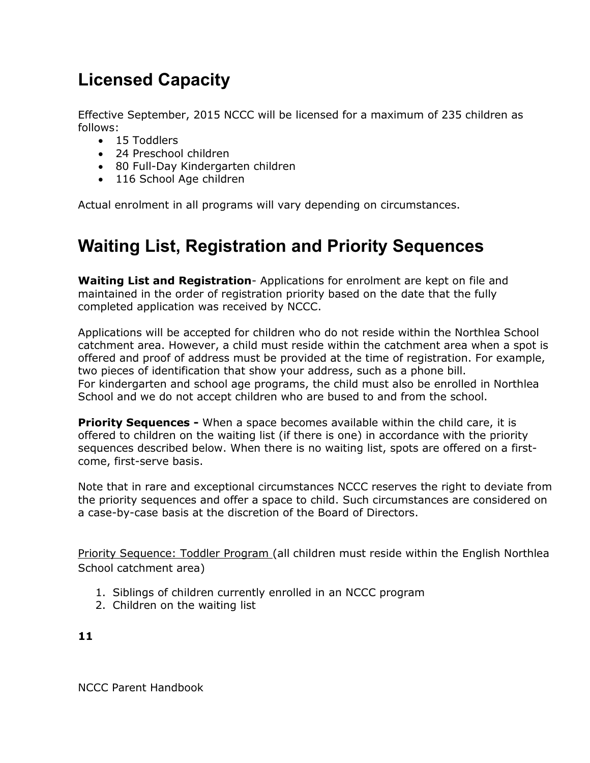# **Licensed Capacity**

Effective September, 2015 NCCC will be licensed for a maximum of 235 children as follows:

- 15 Toddlers
- 24 Preschool children
- 80 Full-Day Kindergarten children
- 116 School Age children

Actual enrolment in all programs will vary depending on circumstances.

# **Waiting List, Registration and Priority Sequences**

**Waiting List and Registration**- Applications for enrolment are kept on file and maintained in the order of registration priority based on the date that the fully completed application was received by NCCC.

Applications will be accepted for children who do not reside within the Northlea School catchment area. However, a child must reside within the catchment area when a spot is offered and proof of address must be provided at the time of registration. For example, two pieces of identification that show your address, such as a phone bill. For kindergarten and school age programs, the child must also be enrolled in Northlea School and we do not accept children who are bused to and from the school.

**Priority Sequences -** When a space becomes available within the child care, it is offered to children on the waiting list (if there is one) in accordance with the priority sequences described below. When there is no waiting list, spots are offered on a firstcome, first-serve basis.

Note that in rare and exceptional circumstances NCCC reserves the right to deviate from the priority sequences and offer a space to child. Such circumstances are considered on a case-by-case basis at the discretion of the Board of Directors.

Priority Sequence: Toddler Program (all children must reside within the English Northlea School catchment area)

- 1. Siblings of children currently enrolled in an NCCC program
- 2. Children on the waiting list

**11**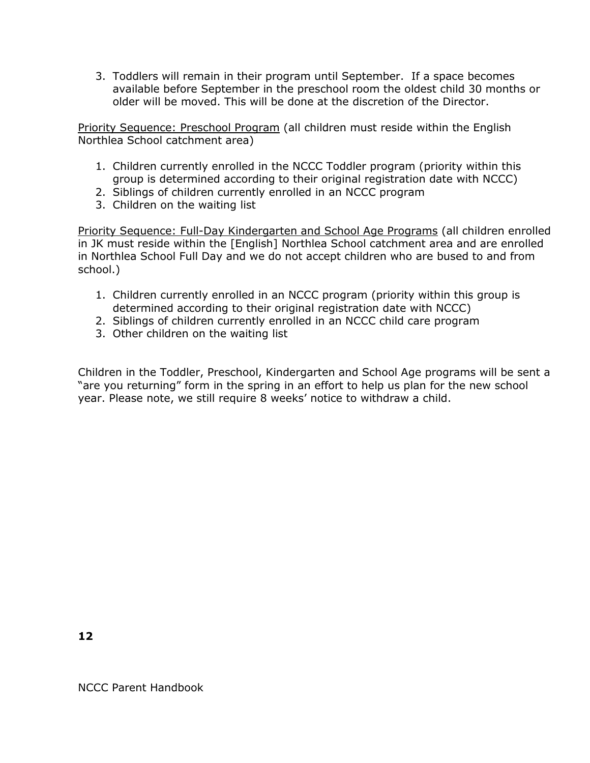3. Toddlers will remain in their program until September. If a space becomes available before September in the preschool room the oldest child 30 months or older will be moved. This will be done at the discretion of the Director.

Priority Sequence: Preschool Program (all children must reside within the English Northlea School catchment area)

- 1. Children currently enrolled in the NCCC Toddler program (priority within this group is determined according to their original registration date with NCCC)
- 2. Siblings of children currently enrolled in an NCCC program
- 3. Children on the waiting list

Priority Sequence: Full-Day Kindergarten and School Age Programs (all children enrolled in JK must reside within the [English] Northlea School catchment area and are enrolled in Northlea School Full Day and we do not accept children who are bused to and from school.)

- 1. Children currently enrolled in an NCCC program (priority within this group is determined according to their original registration date with NCCC)
- 2. Siblings of children currently enrolled in an NCCC child care program
- 3. Other children on the waiting list

Children in the Toddler, Preschool, Kindergarten and School Age programs will be sent a "are you returning" form in the spring in an effort to help us plan for the new school year. Please note, we still require 8 weeks' notice to withdraw a child.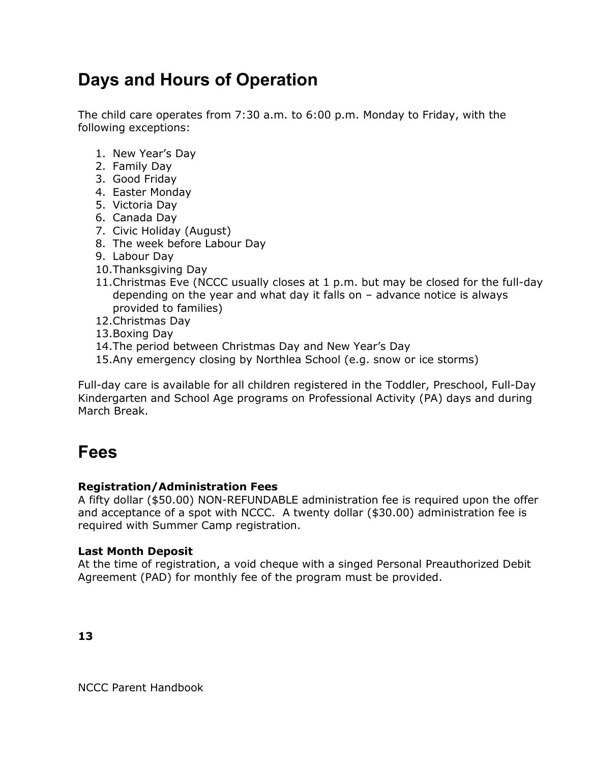# **Days and Hours of Operation**

The child care operates from 7:30 a.m. to 6:00 p.m. Monday to Friday, with the following exceptions:

- 1. New Year's Day
- 2. Family Day
- 3. Good Friday
- 4. Easter Monday
- 5. Victoria Day
- 6. Canada Day
- 7. Civic Holiday (August)
- 8. The week before Labour Day
- 9. Labour Day
- 10.Thanksgiving Day
- 11.Christmas Eve (NCCC usually closes at 1 p.m. but may be closed for the full-day depending on the year and what day it falls on – advance notice is always provided to families)
- 12.Christmas Day
- 13.Boxing Day
- 14.The period between Christmas Day and New Year's Day
- 15.Any emergency closing by Northlea School (e.g. snow or ice storms)

Full-day care is available for all children registered in the Toddler, Preschool, Full-Day Kindergarten and School Age programs on Professional Activity (PA) days and during March Break.

### **Fees**

#### **Registration/Administration Fees**

A fifty dollar (\$50.00) NON-REFUNDABLE administration fee is required upon the offer and acceptance of a spot with NCCC. A twenty dollar (\$30.00) administration fee is required with Summer Camp registration.

#### **Last Month Deposit**

At the time of registration, a void cheque with a singed Personal Preauthorized Debit Agreement (PAD) for monthly fee of the program must be provided.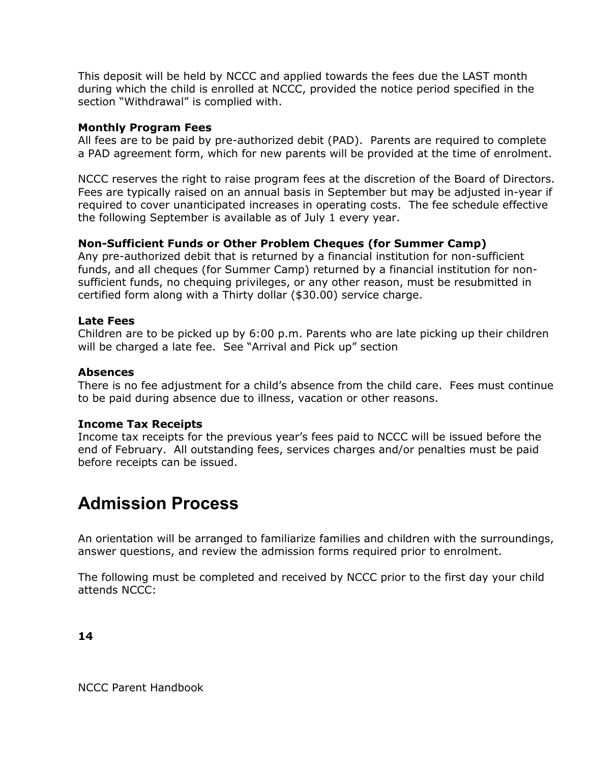This deposit will be held by NCCC and applied towards the fees due the LAST month during which the child is enrolled at NCCC, provided the notice period specified in the section "Withdrawal" is complied with.

#### **Monthly Program Fees**

All fees are to be paid by pre-authorized debit (PAD). Parents are required to complete a PAD agreement form, which for new parents will be provided at the time of enrolment.

NCCC reserves the right to raise program fees at the discretion of the Board of Directors. Fees are typically raised on an annual basis in September but may be adjusted in-year if required to cover unanticipated increases in operating costs. The fee schedule effective the following September is available as of July 1 every year.

#### **Non-Sufficient Funds or Other Problem Cheques (for Summer Camp)**

Any pre-authorized debit that is returned by a financial institution for non-sufficient funds, and all cheques (for Summer Camp) returned by a financial institution for nonsufficient funds, no chequing privileges, or any other reason, must be resubmitted in certified form along with a Thirty dollar (\$30.00) service charge.

#### **Late Fees**

Children are to be picked up by 6:00 p.m. Parents who are late picking up their children will be charged a late fee. See "Arrival and Pick up" section

#### **Absences**

There is no fee adjustment for a child's absence from the child care. Fees must continue to be paid during absence due to illness, vacation or other reasons.

#### **Income Tax Receipts**

Income tax receipts for the previous year's fees paid to NCCC will be issued before the end of February. All outstanding fees, services charges and/or penalties must be paid before receipts can be issued.

### **Admission Process**

An orientation will be arranged to familiarize families and children with the surroundings, answer questions, and review the admission forms required prior to enrolment.

The following must be completed and received by NCCC prior to the first day your child attends NCCC:

**14**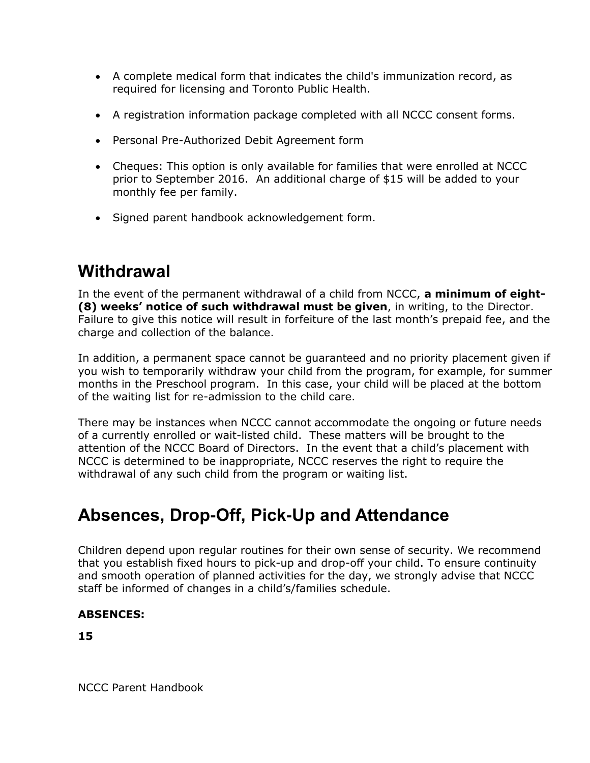- A complete medical form that indicates the child's immunization record, as required for licensing and Toronto Public Health.
- A registration information package completed with all NCCC consent forms.
- Personal Pre-Authorized Debit Agreement form
- Cheques: This option is only available for families that were enrolled at NCCC prior to September 2016. An additional charge of \$15 will be added to your monthly fee per family.
- Signed parent handbook acknowledgement form.

# **Withdrawal**

In the event of the permanent withdrawal of a child from NCCC, **a minimum of eight- (8) weeks' notice of such withdrawal must be given**, in writing, to the Director. Failure to give this notice will result in forfeiture of the last month's prepaid fee, and the charge and collection of the balance.

In addition, a permanent space cannot be guaranteed and no priority placement given if you wish to temporarily withdraw your child from the program, for example, for summer months in the Preschool program. In this case, your child will be placed at the bottom of the waiting list for re-admission to the child care.

There may be instances when NCCC cannot accommodate the ongoing or future needs of a currently enrolled or wait-listed child. These matters will be brought to the attention of the NCCC Board of Directors. In the event that a child's placement with NCCC is determined to be inappropriate, NCCC reserves the right to require the withdrawal of any such child from the program or waiting list.

# **Absences, Drop-Off, Pick-Up and Attendance**

Children depend upon regular routines for their own sense of security. We recommend that you establish fixed hours to pick-up and drop-off your child. To ensure continuity and smooth operation of planned activities for the day, we strongly advise that NCCC staff be informed of changes in a child's/families schedule.

#### **ABSENCES:**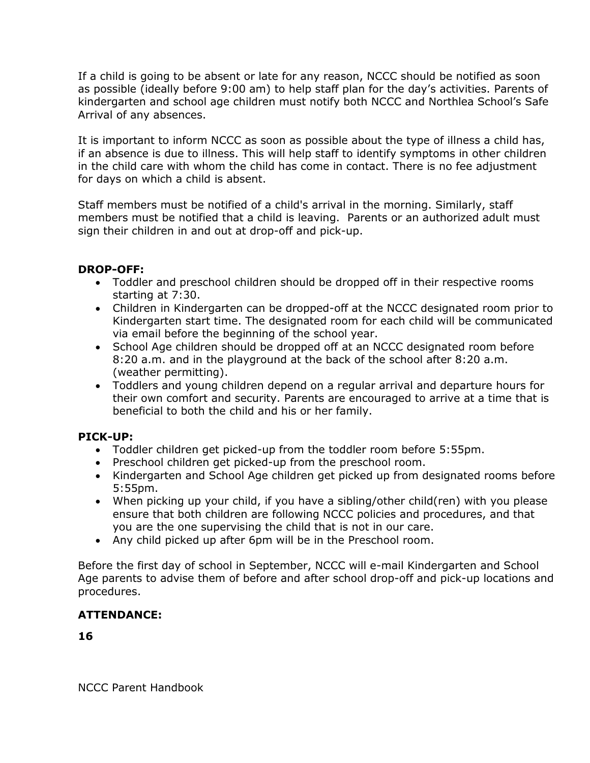If a child is going to be absent or late for any reason, NCCC should be notified as soon as possible (ideally before 9:00 am) to help staff plan for the day's activities. Parents of kindergarten and school age children must notify both NCCC and Northlea School's Safe Arrival of any absences.

It is important to inform NCCC as soon as possible about the type of illness a child has, if an absence is due to illness. This will help staff to identify symptoms in other children in the child care with whom the child has come in contact. There is no fee adjustment for days on which a child is absent.

Staff members must be notified of a child's arrival in the morning. Similarly, staff members must be notified that a child is leaving. Parents or an authorized adult must sign their children in and out at drop-off and pick-up.

#### **DROP-OFF:**

- Toddler and preschool children should be dropped off in their respective rooms starting at 7:30.
- Children in Kindergarten can be dropped-off at the NCCC designated room prior to Kindergarten start time. The designated room for each child will be communicated via email before the beginning of the school year.
- School Age children should be dropped off at an NCCC designated room before 8:20 a.m. and in the playground at the back of the school after 8:20 a.m. (weather permitting).
- Toddlers and young children depend on a regular arrival and departure hours for their own comfort and security. Parents are encouraged to arrive at a time that is beneficial to both the child and his or her family.

#### **PICK-UP:**

- Toddler children get picked-up from the toddler room before 5:55pm.
- Preschool children get picked-up from the preschool room.
- Kindergarten and School Age children get picked up from designated rooms before 5:55pm.
- When picking up your child, if you have a sibling/other child(ren) with you please ensure that both children are following NCCC policies and procedures, and that you are the one supervising the child that is not in our care.
- Any child picked up after 6pm will be in the Preschool room.

Before the first day of school in September, NCCC will e-mail Kindergarten and School Age parents to advise them of before and after school drop-off and pick-up locations and procedures.

#### **ATTENDANCE:**

**16**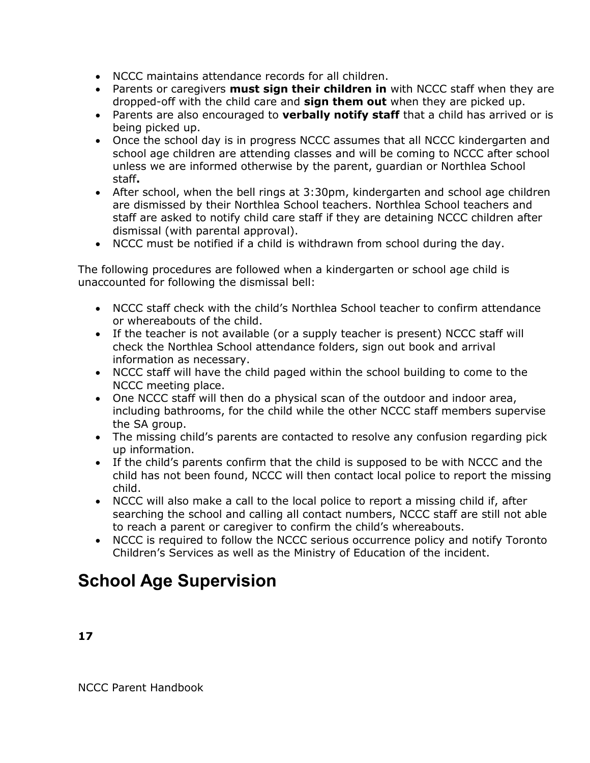- NCCC maintains attendance records for all children.
- Parents or caregivers **must sign their children in** with NCCC staff when they are dropped-off with the child care and **sign them out** when they are picked up.
- Parents are also encouraged to **verbally notify staff** that a child has arrived or is being picked up.
- Once the school day is in progress NCCC assumes that all NCCC kindergarten and school age children are attending classes and will be coming to NCCC after school unless we are informed otherwise by the parent, guardian or Northlea School staff**.**
- After school, when the bell rings at 3:30pm, kindergarten and school age children are dismissed by their Northlea School teachers. Northlea School teachers and staff are asked to notify child care staff if they are detaining NCCC children after dismissal (with parental approval).
- NCCC must be notified if a child is withdrawn from school during the day.

The following procedures are followed when a kindergarten or school age child is unaccounted for following the dismissal bell:

- NCCC staff check with the child's Northlea School teacher to confirm attendance or whereabouts of the child.
- If the teacher is not available (or a supply teacher is present) NCCC staff will check the Northlea School attendance folders, sign out book and arrival information as necessary.
- NCCC staff will have the child paged within the school building to come to the NCCC meeting place.
- One NCCC staff will then do a physical scan of the outdoor and indoor area, including bathrooms, for the child while the other NCCC staff members supervise the SA group.
- The missing child's parents are contacted to resolve any confusion regarding pick up information.
- If the child's parents confirm that the child is supposed to be with NCCC and the child has not been found, NCCC will then contact local police to report the missing child.
- NCCC will also make a call to the local police to report a missing child if, after searching the school and calling all contact numbers, NCCC staff are still not able to reach a parent or caregiver to confirm the child's whereabouts.
- NCCC is required to follow the NCCC serious occurrence policy and notify Toronto Children's Services as well as the Ministry of Education of the incident.

# **School Age Supervision**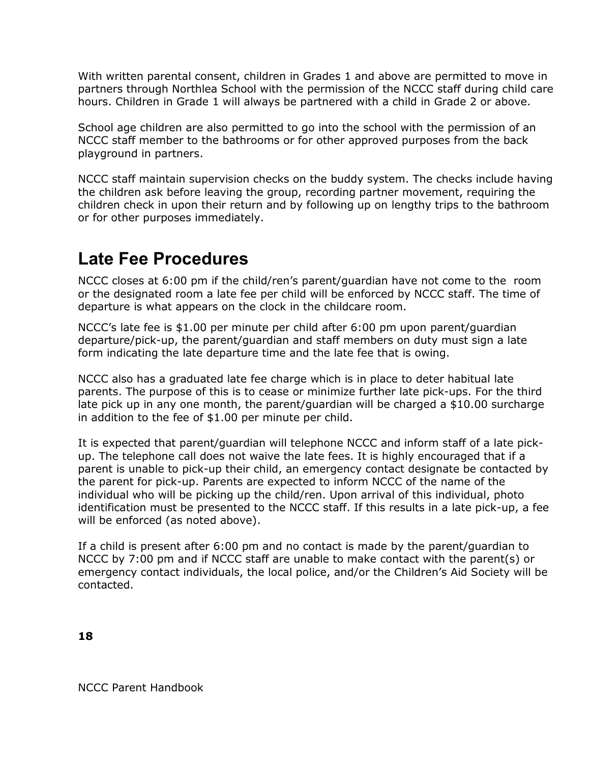With written parental consent, children in Grades 1 and above are permitted to move in partners through Northlea School with the permission of the NCCC staff during child care hours. Children in Grade 1 will always be partnered with a child in Grade 2 or above.

School age children are also permitted to go into the school with the permission of an NCCC staff member to the bathrooms or for other approved purposes from the back playground in partners.

NCCC staff maintain supervision checks on the buddy system. The checks include having the children ask before leaving the group, recording partner movement, requiring the children check in upon their return and by following up on lengthy trips to the bathroom or for other purposes immediately.

### **Late Fee Procedures**

NCCC closes at 6:00 pm if the child/ren's parent/guardian have not come to the room or the designated room a late fee per child will be enforced by NCCC staff. The time of departure is what appears on the clock in the childcare room.

NCCC's late fee is \$1.00 per minute per child after 6:00 pm upon parent/guardian departure/pick-up, the parent/guardian and staff members on duty must sign a late form indicating the late departure time and the late fee that is owing.

NCCC also has a graduated late fee charge which is in place to deter habitual late parents. The purpose of this is to cease or minimize further late pick-ups. For the third late pick up in any one month, the parent/guardian will be charged a \$10.00 surcharge in addition to the fee of \$1.00 per minute per child.

It is expected that parent/guardian will telephone NCCC and inform staff of a late pickup. The telephone call does not waive the late fees. It is highly encouraged that if a parent is unable to pick-up their child, an emergency contact designate be contacted by the parent for pick-up. Parents are expected to inform NCCC of the name of the individual who will be picking up the child/ren. Upon arrival of this individual, photo identification must be presented to the NCCC staff. If this results in a late pick-up, a fee will be enforced (as noted above).

If a child is present after 6:00 pm and no contact is made by the parent/guardian to NCCC by 7:00 pm and if NCCC staff are unable to make contact with the parent(s) or emergency contact individuals, the local police, and/or the Children's Aid Society will be contacted.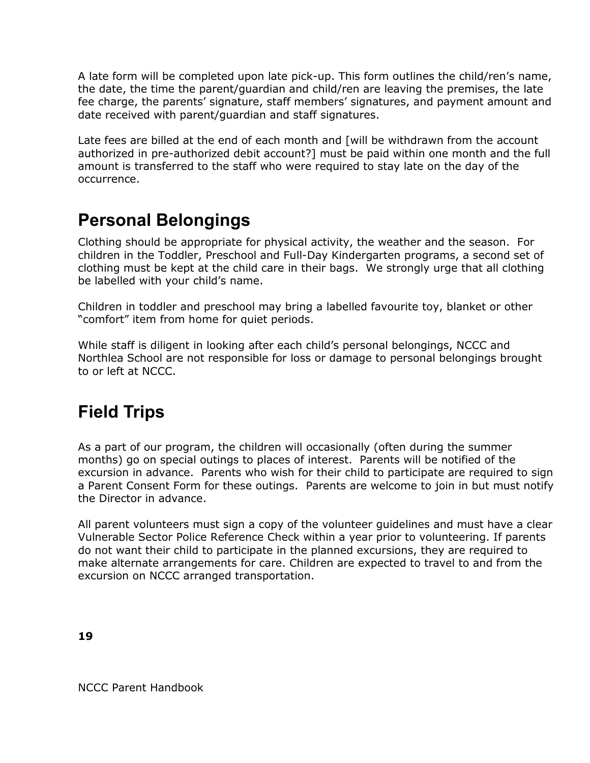A late form will be completed upon late pick-up. This form outlines the child/ren's name, the date, the time the parent/guardian and child/ren are leaving the premises, the late fee charge, the parents' signature, staff members' signatures, and payment amount and date received with parent/guardian and staff signatures.

Late fees are billed at the end of each month and [will be withdrawn from the account authorized in pre-authorized debit account?] must be paid within one month and the full amount is transferred to the staff who were required to stay late on the day of the occurrence.

# **Personal Belongings**

Clothing should be appropriate for physical activity, the weather and the season. For children in the Toddler, Preschool and Full-Day Kindergarten programs, a second set of clothing must be kept at the child care in their bags. We strongly urge that all clothing be labelled with your child's name.

Children in toddler and preschool may bring a labelled favourite toy, blanket or other "comfort" item from home for quiet periods.

While staff is diligent in looking after each child's personal belongings, NCCC and Northlea School are not responsible for loss or damage to personal belongings brought to or left at NCCC.

# **Field Trips**

As a part of our program, the children will occasionally (often during the summer months) go on special outings to places of interest. Parents will be notified of the excursion in advance. Parents who wish for their child to participate are required to sign a Parent Consent Form for these outings. Parents are welcome to join in but must notify the Director in advance.

All parent volunteers must sign a copy of the volunteer guidelines and must have a clear Vulnerable Sector Police Reference Check within a year prior to volunteering. If parents do not want their child to participate in the planned excursions, they are required to make alternate arrangements for care. Children are expected to travel to and from the excursion on NCCC arranged transportation.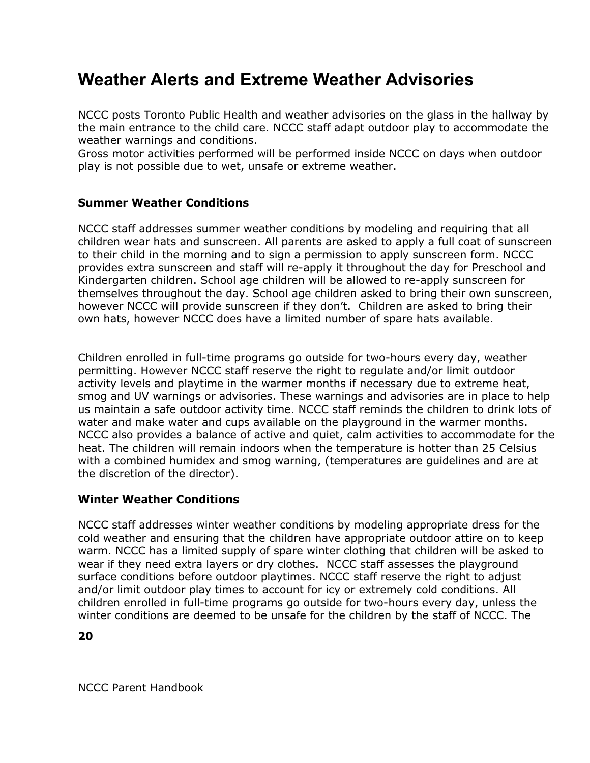# **Weather Alerts and Extreme Weather Advisories**

NCCC posts Toronto Public Health and weather advisories on the glass in the hallway by the main entrance to the child care. NCCC staff adapt outdoor play to accommodate the weather warnings and conditions.

Gross motor activities performed will be performed inside NCCC on days when outdoor play is not possible due to wet, unsafe or extreme weather.

#### **Summer Weather Conditions**

NCCC staff addresses summer weather conditions by modeling and requiring that all children wear hats and sunscreen. All parents are asked to apply a full coat of sunscreen to their child in the morning and to sign a permission to apply sunscreen form. NCCC provides extra sunscreen and staff will re-apply it throughout the day for Preschool and Kindergarten children. School age children will be allowed to re-apply sunscreen for themselves throughout the day. School age children asked to bring their own sunscreen, however NCCC will provide sunscreen if they don't. Children are asked to bring their own hats, however NCCC does have a limited number of spare hats available.

Children enrolled in full-time programs go outside for two-hours every day, weather permitting. However NCCC staff reserve the right to regulate and/or limit outdoor activity levels and playtime in the warmer months if necessary due to extreme heat, smog and UV warnings or advisories. These warnings and advisories are in place to help us maintain a safe outdoor activity time. NCCC staff reminds the children to drink lots of water and make water and cups available on the playground in the warmer months. NCCC also provides a balance of active and quiet, calm activities to accommodate for the heat. The children will remain indoors when the temperature is hotter than 25 Celsius with a combined humidex and smog warning, (temperatures are guidelines and are at the discretion of the director).

#### **Winter Weather Conditions**

NCCC staff addresses winter weather conditions by modeling appropriate dress for the cold weather and ensuring that the children have appropriate outdoor attire on to keep warm. NCCC has a limited supply of spare winter clothing that children will be asked to wear if they need extra layers or dry clothes. NCCC staff assesses the playground surface conditions before outdoor playtimes. NCCC staff reserve the right to adjust and/or limit outdoor play times to account for icy or extremely cold conditions. All children enrolled in full-time programs go outside for two-hours every day, unless the winter conditions are deemed to be unsafe for the children by the staff of NCCC. The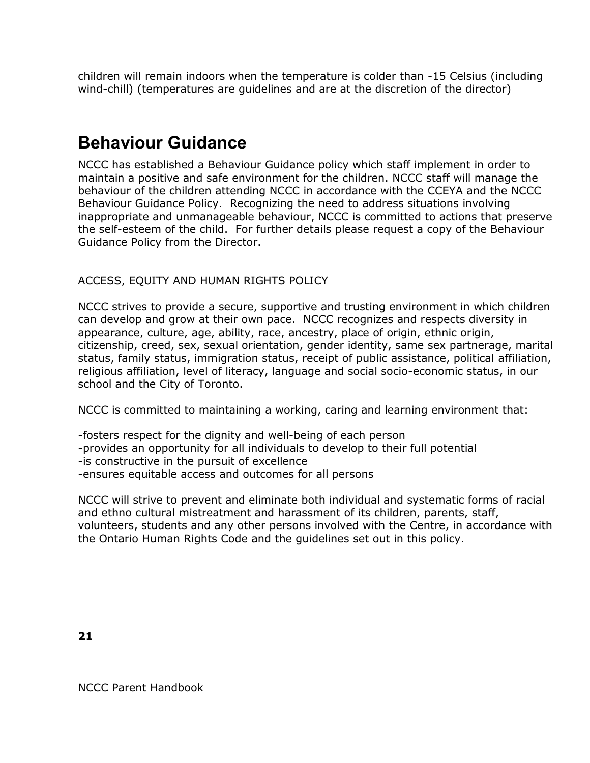children will remain indoors when the temperature is colder than -15 Celsius (including wind-chill) (temperatures are guidelines and are at the discretion of the director)

### **Behaviour Guidance**

NCCC has established a Behaviour Guidance policy which staff implement in order to maintain a positive and safe environment for the children. NCCC staff will manage the behaviour of the children attending NCCC in accordance with the CCEYA and the NCCC Behaviour Guidance Policy. Recognizing the need to address situations involving inappropriate and unmanageable behaviour, NCCC is committed to actions that preserve the self-esteem of the child. For further details please request a copy of the Behaviour Guidance Policy from the Director.

#### ACCESS, EQUITY AND HUMAN RIGHTS POLICY

NCCC strives to provide a secure, supportive and trusting environment in which children can develop and grow at their own pace. NCCC recognizes and respects diversity in appearance, culture, age, ability, race, ancestry, place of origin, ethnic origin, citizenship, creed, sex, sexual orientation, gender identity, same sex partnerage, marital status, family status, immigration status, receipt of public assistance, political affiliation, religious affiliation, level of literacy, language and social socio-economic status, in our school and the City of Toronto.

NCCC is committed to maintaining a working, caring and learning environment that:

-fosters respect for the dignity and well-being of each person

-provides an opportunity for all individuals to develop to their full potential

-is constructive in the pursuit of excellence

-ensures equitable access and outcomes for all persons

NCCC will strive to prevent and eliminate both individual and systematic forms of racial and ethno cultural mistreatment and harassment of its children, parents, staff, volunteers, students and any other persons involved with the Centre, in accordance with the Ontario Human Rights Code and the guidelines set out in this policy.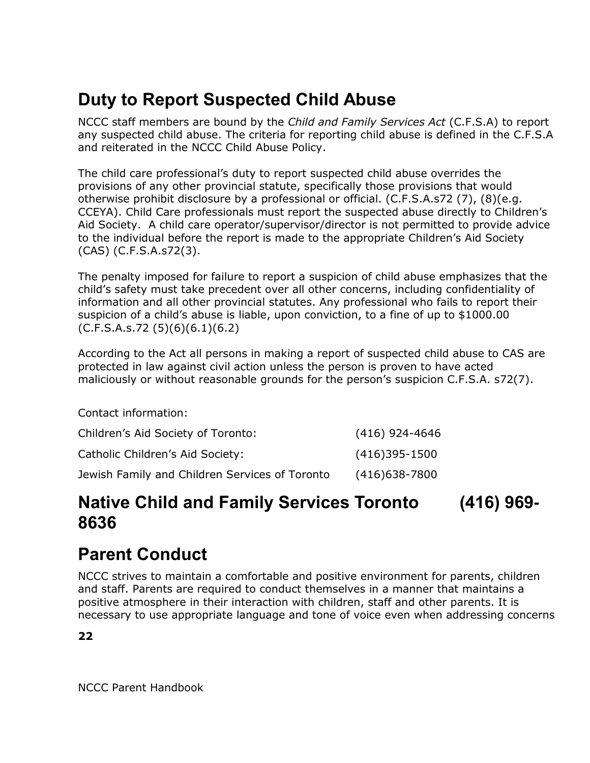# **Duty to Report Suspected Child Abuse**

NCCC staff members are bound by the *Child and Family Services Act* (C.F.S.A) to report any suspected child abuse. The criteria for reporting child abuse is defined in the C.F.S.A and reiterated in the NCCC Child Abuse Policy.

The child care professional's duty to report suspected child abuse overrides the provisions of any other provincial statute, specifically those provisions that would otherwise prohibit disclosure by a professional or official. (C.F.S.A.s72 (7), (8)(e.g. CCEYA). Child Care professionals must report the suspected abuse directly to Children's Aid Society. A child care operator/supervisor/director is not permitted to provide advice to the individual before the report is made to the appropriate Children's Aid Society (CAS) (C.F.S.A.s72(3).

The penalty imposed for failure to report a suspicion of child abuse emphasizes that the child's safety must take precedent over all other concerns, including confidentiality of information and all other provincial statutes. Any professional who fails to report their suspicion of a child's abuse is liable, upon conviction, to a fine of up to \$1000.00 (C.F.S.A.s.72 (5)(6)(6.1)(6.2)

According to the Act all persons in making a report of suspected child abuse to CAS are protected in law against civil action unless the person is proven to have acted maliciously or without reasonable grounds for the person's suspicion C.F.S.A. s72(7).

Contact information:

| Children's Aid Society of Toronto:             | $(416)$ 924-4646 |
|------------------------------------------------|------------------|
| Catholic Children's Aid Society:               | $(416)395-1500$  |
| Jewish Family and Children Services of Toronto | $(416)$ 638-7800 |

### **Native Child and Family Services Toronto (416) 969- 8636**

### **Parent Conduct**

NCCC strives to maintain a comfortable and positive environment for parents, children and staff. Parents are required to conduct themselves in a manner that maintains a positive atmosphere in their interaction with children, staff and other parents. It is necessary to use appropriate language and tone of voice even when addressing concerns

**22**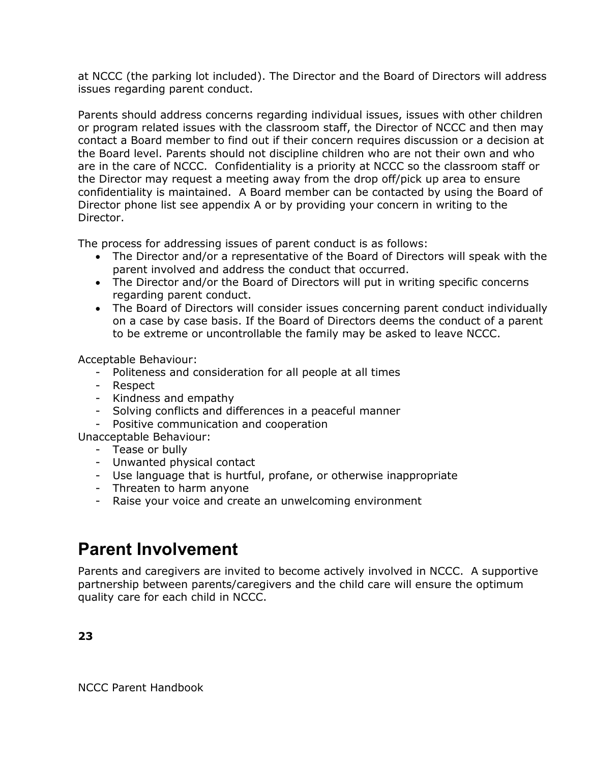at NCCC (the parking lot included). The Director and the Board of Directors will address issues regarding parent conduct.

Parents should address concerns regarding individual issues, issues with other children or program related issues with the classroom staff, the Director of NCCC and then may contact a Board member to find out if their concern requires discussion or a decision at the Board level. Parents should not discipline children who are not their own and who are in the care of NCCC. Confidentiality is a priority at NCCC so the classroom staff or the Director may request a meeting away from the drop off/pick up area to ensure confidentiality is maintained. A Board member can be contacted by using the Board of Director phone list see appendix A or by providing your concern in writing to the Director.

The process for addressing issues of parent conduct is as follows:

- The Director and/or a representative of the Board of Directors will speak with the parent involved and address the conduct that occurred.
- The Director and/or the Board of Directors will put in writing specific concerns regarding parent conduct.
- The Board of Directors will consider issues concerning parent conduct individually on a case by case basis. If the Board of Directors deems the conduct of a parent to be extreme or uncontrollable the family may be asked to leave NCCC.

Acceptable Behaviour:

- Politeness and consideration for all people at all times
- Respect
- Kindness and empathy
- Solving conflicts and differences in a peaceful manner
- Positive communication and cooperation

Unacceptable Behaviour:

- Tease or bully
- Unwanted physical contact
- Use language that is hurtful, profane, or otherwise inappropriate
- Threaten to harm anyone
- Raise your voice and create an unwelcoming environment

### **Parent Involvement**

Parents and caregivers are invited to become actively involved in NCCC. A supportive partnership between parents/caregivers and the child care will ensure the optimum quality care for each child in NCCC.

**23**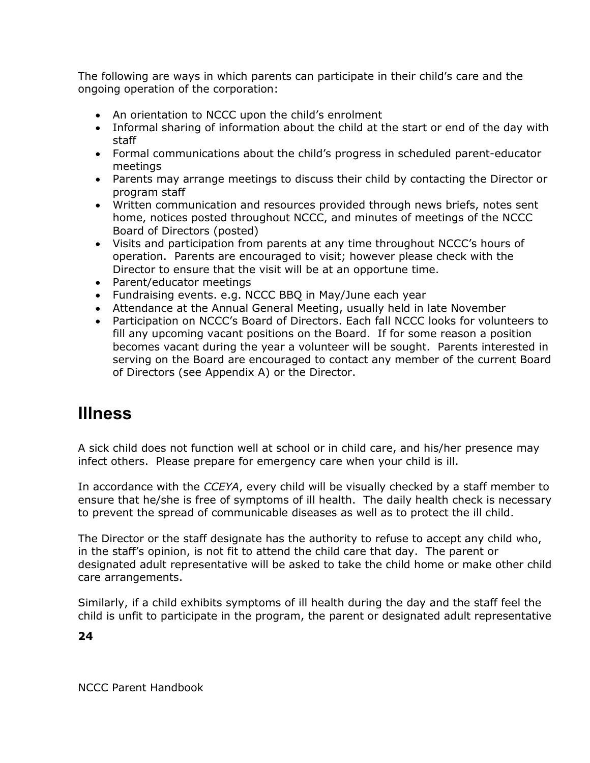The following are ways in which parents can participate in their child's care and the ongoing operation of the corporation:

- An orientation to NCCC upon the child's enrolment
- Informal sharing of information about the child at the start or end of the day with staff
- Formal communications about the child's progress in scheduled parent-educator meetings
- Parents may arrange meetings to discuss their child by contacting the Director or program staff
- Written communication and resources provided through news briefs, notes sent home, notices posted throughout NCCC, and minutes of meetings of the NCCC Board of Directors (posted)
- Visits and participation from parents at any time throughout NCCC's hours of operation. Parents are encouraged to visit; however please check with the Director to ensure that the visit will be at an opportune time.
- Parent/educator meetings
- Fundraising events. e.g. NCCC BBQ in May/June each year
- Attendance at the Annual General Meeting, usually held in late November
- Participation on NCCC's Board of Directors. Each fall NCCC looks for volunteers to fill any upcoming vacant positions on the Board. If for some reason a position becomes vacant during the year a volunteer will be sought. Parents interested in serving on the Board are encouraged to contact any member of the current Board of Directors (see Appendix A) or the Director.

### **Illness**

A sick child does not function well at school or in child care, and his/her presence may infect others. Please prepare for emergency care when your child is ill.

In accordance with the *CCEYA*, every child will be visually checked by a staff member to ensure that he/she is free of symptoms of ill health. The daily health check is necessary to prevent the spread of communicable diseases as well as to protect the ill child.

The Director or the staff designate has the authority to refuse to accept any child who, in the staff's opinion, is not fit to attend the child care that day. The parent or designated adult representative will be asked to take the child home or make other child care arrangements.

Similarly, if a child exhibits symptoms of ill health during the day and the staff feel the child is unfit to participate in the program, the parent or designated adult representative

**24**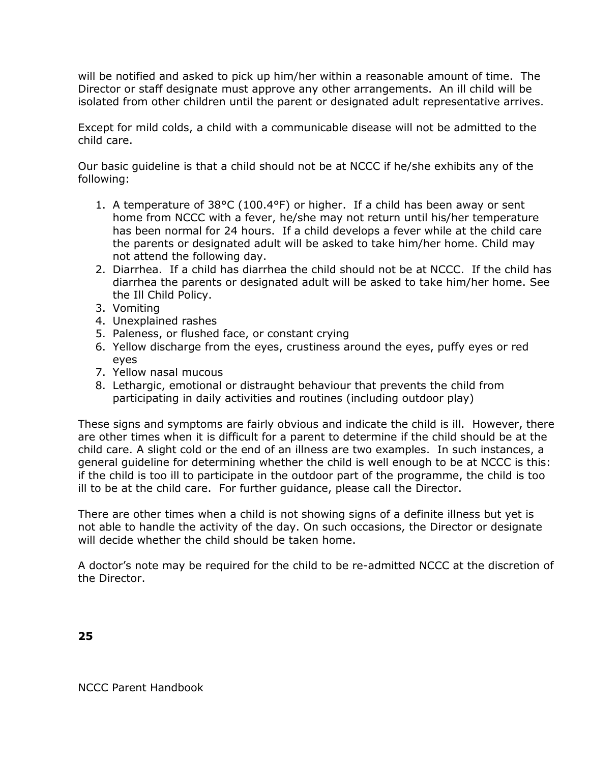will be notified and asked to pick up him/her within a reasonable amount of time. The Director or staff designate must approve any other arrangements. An ill child will be isolated from other children until the parent or designated adult representative arrives.

Except for mild colds, a child with a communicable disease will not be admitted to the child care.

Our basic guideline is that a child should not be at NCCC if he/she exhibits any of the following:

- 1. A temperature of 38°C (100.4°F) or higher. If a child has been away or sent home from NCCC with a fever, he/she may not return until his/her temperature has been normal for 24 hours. If a child develops a fever while at the child care the parents or designated adult will be asked to take him/her home. Child may not attend the following day.
- 2. Diarrhea. If a child has diarrhea the child should not be at NCCC. If the child has diarrhea the parents or designated adult will be asked to take him/her home. See the Ill Child Policy.
- 3. Vomiting
- 4. Unexplained rashes
- 5. Paleness, or flushed face, or constant crying
- 6. Yellow discharge from the eyes, crustiness around the eyes, puffy eyes or red eyes
- 7. Yellow nasal mucous
- 8. Lethargic, emotional or distraught behaviour that prevents the child from participating in daily activities and routines (including outdoor play)

These signs and symptoms are fairly obvious and indicate the child is ill. However, there are other times when it is difficult for a parent to determine if the child should be at the child care. A slight cold or the end of an illness are two examples. In such instances, a general guideline for determining whether the child is well enough to be at NCCC is this: if the child is too ill to participate in the outdoor part of the programme, the child is too ill to be at the child care. For further guidance, please call the Director.

There are other times when a child is not showing signs of a definite illness but yet is not able to handle the activity of the day. On such occasions, the Director or designate will decide whether the child should be taken home.

A doctor's note may be required for the child to be re-admitted NCCC at the discretion of the Director.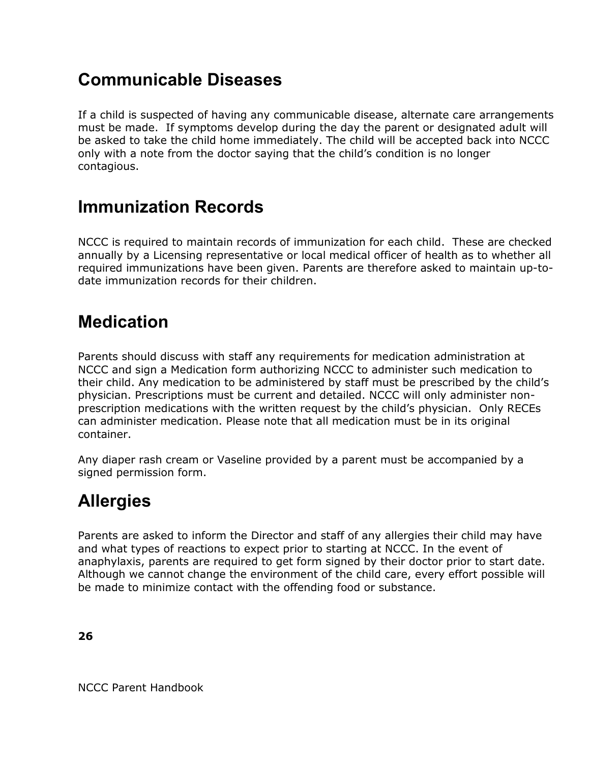# **Communicable Diseases**

If a child is suspected of having any communicable disease, alternate care arrangements must be made. If symptoms develop during the day the parent or designated adult will be asked to take the child home immediately. The child will be accepted back into NCCC only with a note from the doctor saying that the child's condition is no longer contagious.

# **Immunization Records**

NCCC is required to maintain records of immunization for each child. These are checked annually by a Licensing representative or local medical officer of health as to whether all required immunizations have been given. Parents are therefore asked to maintain up-todate immunization records for their children.

### **Medication**

Parents should discuss with staff any requirements for medication administration at NCCC and sign a Medication form authorizing NCCC to administer such medication to their child. Any medication to be administered by staff must be prescribed by the child's physician. Prescriptions must be current and detailed. NCCC will only administer nonprescription medications with the written request by the child's physician. Only RECEs can administer medication. Please note that all medication must be in its original container.

Any diaper rash cream or Vaseline provided by a parent must be accompanied by a signed permission form.

### **Allergies**

Parents are asked to inform the Director and staff of any allergies their child may have and what types of reactions to expect prior to starting at NCCC. In the event of anaphylaxis, parents are required to get form signed by their doctor prior to start date. Although we cannot change the environment of the child care, every effort possible will be made to minimize contact with the offending food or substance.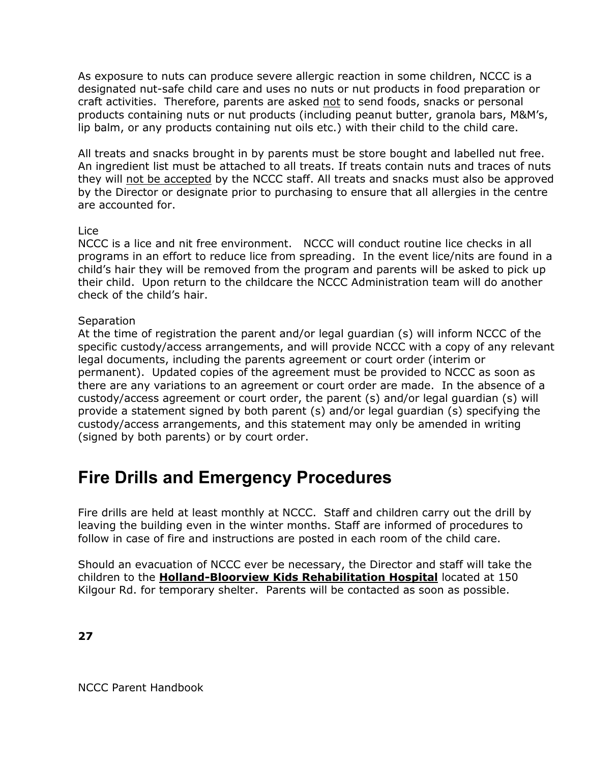As exposure to nuts can produce severe allergic reaction in some children, NCCC is a designated nut-safe child care and uses no nuts or nut products in food preparation or craft activities. Therefore, parents are asked not to send foods, snacks or personal products containing nuts or nut products (including peanut butter, granola bars, M&M's, lip balm, or any products containing nut oils etc.) with their child to the child care.

All treats and snacks brought in by parents must be store bought and labelled nut free. An ingredient list must be attached to all treats. If treats contain nuts and traces of nuts they will not be accepted by the NCCC staff. All treats and snacks must also be approved by the Director or designate prior to purchasing to ensure that all allergies in the centre are accounted for.

#### Lice

NCCC is a lice and nit free environment. NCCC will conduct routine lice checks in all programs in an effort to reduce lice from spreading. In the event lice/nits are found in a child's hair they will be removed from the program and parents will be asked to pick up their child. Upon return to the childcare the NCCC Administration team will do another check of the child's hair.

#### **Separation**

At the time of registration the parent and/or legal guardian (s) will inform NCCC of the specific custody/access arrangements, and will provide NCCC with a copy of any relevant legal documents, including the parents agreement or court order (interim or permanent). Updated copies of the agreement must be provided to NCCC as soon as there are any variations to an agreement or court order are made. In the absence of a custody/access agreement or court order, the parent (s) and/or legal guardian (s) will provide a statement signed by both parent (s) and/or legal guardian (s) specifying the custody/access arrangements, and this statement may only be amended in writing (signed by both parents) or by court order.

### **Fire Drills and Emergency Procedures**

Fire drills are held at least monthly at NCCC. Staff and children carry out the drill by leaving the building even in the winter months. Staff are informed of procedures to follow in case of fire and instructions are posted in each room of the child care.

Should an evacuation of NCCC ever be necessary, the Director and staff will take the children to the **Holland-Bloorview Kids Rehabilitation Hospital** located at 150 Kilgour Rd. for temporary shelter. Parents will be contacted as soon as possible.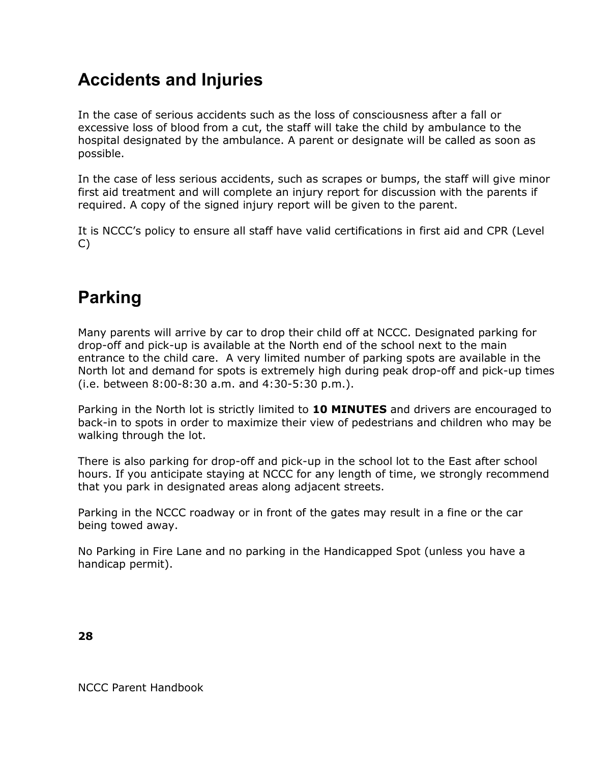# **Accidents and Injuries**

In the case of serious accidents such as the loss of consciousness after a fall or excessive loss of blood from a cut, the staff will take the child by ambulance to the hospital designated by the ambulance. A parent or designate will be called as soon as possible.

In the case of less serious accidents, such as scrapes or bumps, the staff will give minor first aid treatment and will complete an injury report for discussion with the parents if required. A copy of the signed injury report will be given to the parent.

It is NCCC's policy to ensure all staff have valid certifications in first aid and CPR (Level C)

# **Parking**

Many parents will arrive by car to drop their child off at NCCC. Designated parking for drop-off and pick-up is available at the North end of the school next to the main entrance to the child care. A very limited number of parking spots are available in the North lot and demand for spots is extremely high during peak drop-off and pick-up times (i.e. between 8:00-8:30 a.m. and 4:30-5:30 p.m.).

Parking in the North lot is strictly limited to **10 MINUTES** and drivers are encouraged to back-in to spots in order to maximize their view of pedestrians and children who may be walking through the lot.

There is also parking for drop-off and pick-up in the school lot to the East after school hours. If you anticipate staying at NCCC for any length of time, we strongly recommend that you park in designated areas along adjacent streets.

Parking in the NCCC roadway or in front of the gates may result in a fine or the car being towed away.

No Parking in Fire Lane and no parking in the Handicapped Spot (unless you have a handicap permit).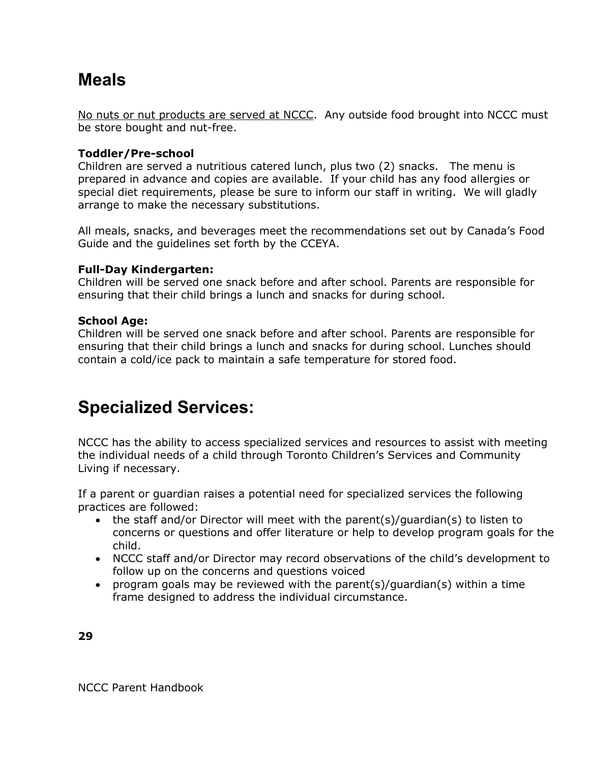### **Meals**

No nuts or nut products are served at NCCC. Any outside food brought into NCCC must be store bought and nut-free.

#### **Toddler/Pre-school**

Children are served a nutritious catered lunch, plus two (2) snacks. The menu is prepared in advance and copies are available. If your child has any food allergies or special diet requirements, please be sure to inform our staff in writing. We will gladly arrange to make the necessary substitutions.

All meals, snacks, and beverages meet the recommendations set out by Canada's Food Guide and the guidelines set forth by the CCEYA.

#### **Full-Day Kindergarten:**

Children will be served one snack before and after school. Parents are responsible for ensuring that their child brings a lunch and snacks for during school.

#### **School Age:**

Children will be served one snack before and after school. Parents are responsible for ensuring that their child brings a lunch and snacks for during school. Lunches should contain a cold/ice pack to maintain a safe temperature for stored food.

### **Specialized Services:**

NCCC has the ability to access specialized services and resources to assist with meeting the individual needs of a child through Toronto Children's Services and Community Living if necessary.

If a parent or guardian raises a potential need for specialized services the following practices are followed:

- the staff and/or Director will meet with the parent(s)/guardian(s) to listen to concerns or questions and offer literature or help to develop program goals for the child.
- NCCC staff and/or Director may record observations of the child's development to follow up on the concerns and questions voiced
- program goals may be reviewed with the parent(s)/guardian(s) within a time frame designed to address the individual circumstance.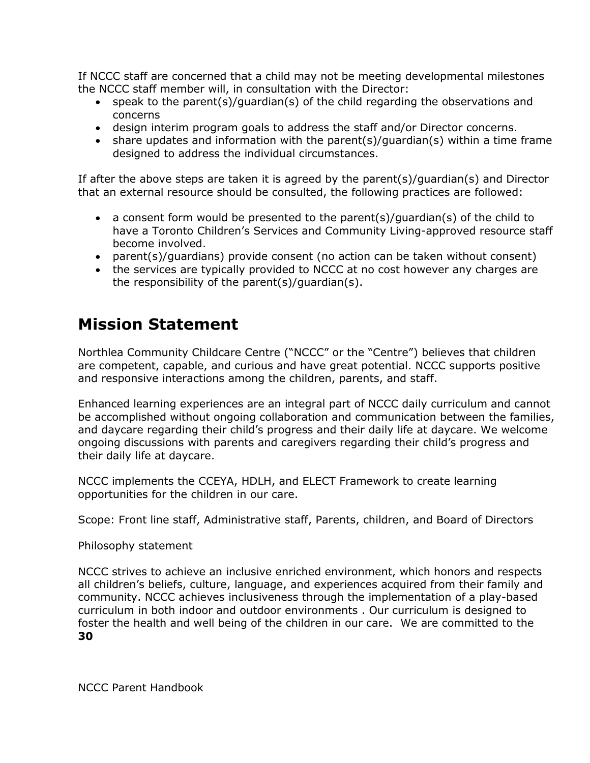If NCCC staff are concerned that a child may not be meeting developmental milestones the NCCC staff member will, in consultation with the Director:

- speak to the parent(s)/guardian(s) of the child regarding the observations and concerns
- design interim program goals to address the staff and/or Director concerns.
- share updates and information with the parent(s)/guardian(s) within a time frame designed to address the individual circumstances.

If after the above steps are taken it is agreed by the parent(s)/guardian(s) and Director that an external resource should be consulted, the following practices are followed:

- a consent form would be presented to the parent(s)/guardian(s) of the child to have a Toronto Children's Services and Community Living-approved resource staff become involved.
- parent(s)/guardians) provide consent (no action can be taken without consent)
- the services are typically provided to NCCC at no cost however any charges are the responsibility of the parent(s)/guardian(s).

### **Mission Statement**

Northlea Community Childcare Centre ("NCCC" or the "Centre") believes that children are competent, capable, and curious and have great potential. NCCC supports positive and responsive interactions among the children, parents, and staff.

Enhanced learning experiences are an integral part of NCCC daily curriculum and cannot be accomplished without ongoing collaboration and communication between the families, and daycare regarding their child's progress and their daily life at daycare. We welcome ongoing discussions with parents and caregivers regarding their child's progress and their daily life at daycare.

NCCC implements the CCEYA, HDLH, and ELECT Framework to create learning opportunities for the children in our care.

Scope: Front line staff, Administrative staff, Parents, children, and Board of Directors

Philosophy statement

**30** NCCC strives to achieve an inclusive enriched environment, which honors and respects all children's beliefs, culture, language, and experiences acquired from their family and community. NCCC achieves inclusiveness through the implementation of a play-based curriculum in both indoor and outdoor environments . Our curriculum is designed to foster the health and well being of the children in our care. We are committed to the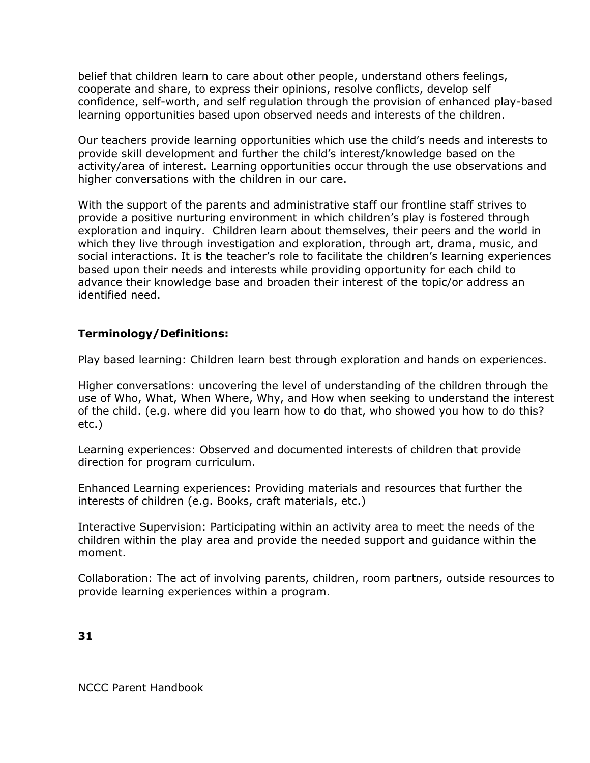belief that children learn to care about other people, understand others feelings, cooperate and share, to express their opinions, resolve conflicts, develop self confidence, self-worth, and self regulation through the provision of enhanced play-based learning opportunities based upon observed needs and interests of the children.

Our teachers provide learning opportunities which use the child's needs and interests to provide skill development and further the child's interest/knowledge based on the activity/area of interest. Learning opportunities occur through the use observations and higher conversations with the children in our care.

With the support of the parents and administrative staff our frontline staff strives to provide a positive nurturing environment in which children's play is fostered through exploration and inquiry. Children learn about themselves, their peers and the world in which they live through investigation and exploration, through art, drama, music, and social interactions. It is the teacher's role to facilitate the children's learning experiences based upon their needs and interests while providing opportunity for each child to advance their knowledge base and broaden their interest of the topic/or address an identified need.

#### **Terminology/Definitions:**

Play based learning: Children learn best through exploration and hands on experiences.

Higher conversations: uncovering the level of understanding of the children through the use of Who, What, When Where, Why, and How when seeking to understand the interest of the child. (e.g. where did you learn how to do that, who showed you how to do this? etc.)

Learning experiences: Observed and documented interests of children that provide direction for program curriculum.

Enhanced Learning experiences: Providing materials and resources that further the interests of children (e.g. Books, craft materials, etc.)

Interactive Supervision: Participating within an activity area to meet the needs of the children within the play area and provide the needed support and guidance within the moment.

Collaboration: The act of involving parents, children, room partners, outside resources to provide learning experiences within a program.

**31**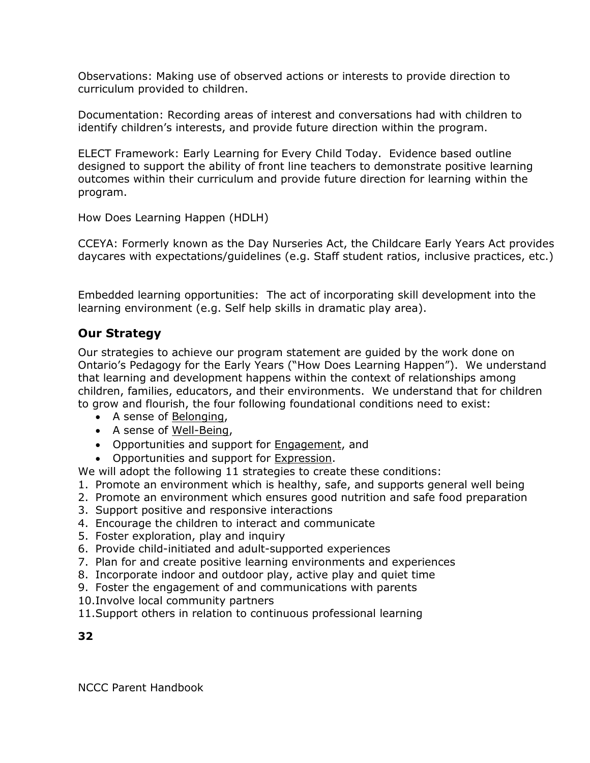Observations: Making use of observed actions or interests to provide direction to curriculum provided to children.

Documentation: Recording areas of interest and conversations had with children to identify children's interests, and provide future direction within the program.

ELECT Framework: Early Learning for Every Child Today. Evidence based outline designed to support the ability of front line teachers to demonstrate positive learning outcomes within their curriculum and provide future direction for learning within the program.

How Does Learning Happen (HDLH)

CCEYA: Formerly known as the Day Nurseries Act, the Childcare Early Years Act provides daycares with expectations/guidelines (e.g. Staff student ratios, inclusive practices, etc.)

Embedded learning opportunities: The act of incorporating skill development into the learning environment (e.g. Self help skills in dramatic play area).

#### **Our Strategy**

Our strategies to achieve our program statement are guided by the work done on Ontario's Pedagogy for the Early Years ("How Does Learning Happen"). We understand that learning and development happens within the context of relationships among children, families, educators, and their environments. We understand that for children to grow and flourish, the four following foundational conditions need to exist:

- A sense of Belonging,
- A sense of Well-Being,
- Opportunities and support for **Engagement**, and
- Opportunities and support for Expression.

We will adopt the following 11 strategies to create these conditions:

- 1. Promote an environment which is healthy, safe, and supports general well being
- 2. Promote an environment which ensures good nutrition and safe food preparation
- 3. Support positive and responsive interactions
- 4. Encourage the children to interact and communicate
- 5. Foster exploration, play and inquiry
- 6. Provide child-initiated and adult-supported experiences
- 7. Plan for and create positive learning environments and experiences
- 8. Incorporate indoor and outdoor play, active play and quiet time
- 9. Foster the engagement of and communications with parents
- 10.Involve local community partners
- 11.Support others in relation to continuous professional learning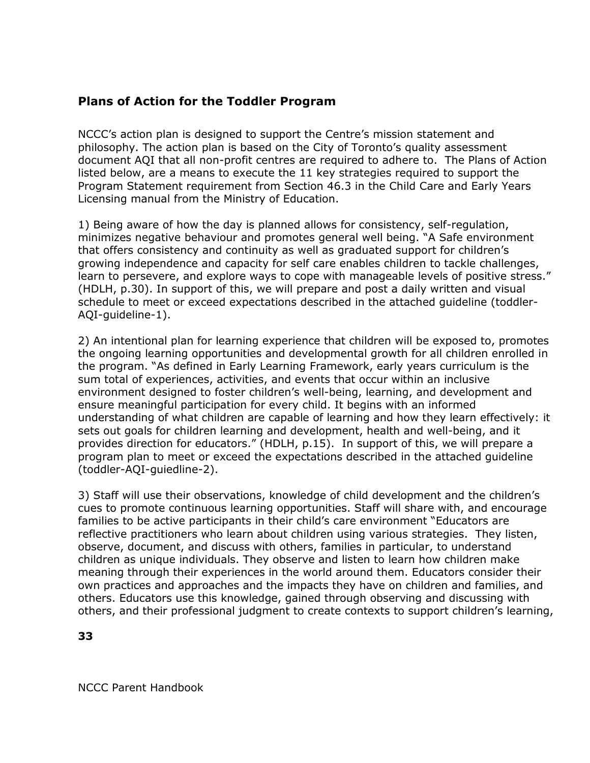#### **Plans of Action for the Toddler Program**

NCCC's action plan is designed to support the Centre's mission statement and philosophy. The action plan is based on the City of Toronto's quality assessment document AQI that all non-profit centres are required to adhere to. The Plans of Action listed below, are a means to execute the 11 key strategies required to support the Program Statement requirement from Section 46.3 in the Child Care and Early Years Licensing manual from the Ministry of Education.

1) Being aware of how the day is planned allows for consistency, self-regulation, minimizes negative behaviour and promotes general well being. "A Safe environment that offers consistency and continuity as well as graduated support for children's growing independence and capacity for self care enables children to tackle challenges, learn to persevere, and explore ways to cope with manageable levels of positive stress." (HDLH, p.30). In support of this, we will prepare and post a daily written and visual schedule to meet or exceed expectations described in the attached guideline (toddler-AQI-guideline-1).

2) An intentional plan for learning experience that children will be exposed to, promotes the ongoing learning opportunities and developmental growth for all children enrolled in the program. "As defined in Early Learning Framework, early years curriculum is the sum total of experiences, activities, and events that occur within an inclusive environment designed to foster children's well-being, learning, and development and ensure meaningful participation for every child. It begins with an informed understanding of what children are capable of learning and how they learn effectively: it sets out goals for children learning and development, health and well-being, and it provides direction for educators." (HDLH, p.15). In support of this, we will prepare a program plan to meet or exceed the expectations described in the attached guideline (toddler-AQI-guiedline-2).

3) Staff will use their observations, knowledge of child development and the children's cues to promote continuous learning opportunities. Staff will share with, and encourage families to be active participants in their child's care environment "Educators are reflective practitioners who learn about children using various strategies. They listen, observe, document, and discuss with others, families in particular, to understand children as unique individuals. They observe and listen to learn how children make meaning through their experiences in the world around them. Educators consider their own practices and approaches and the impacts they have on children and families, and others. Educators use this knowledge, gained through observing and discussing with others, and their professional judgment to create contexts to support children's learning,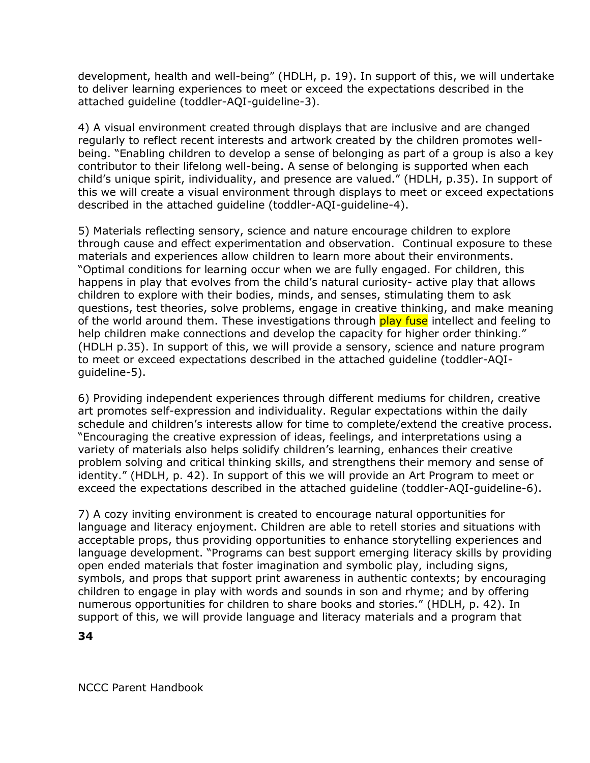development, health and well-being" (HDLH, p. 19). In support of this, we will undertake to deliver learning experiences to meet or exceed the expectations described in the attached guideline (toddler-AQI-guideline-3).

4) A visual environment created through displays that are inclusive and are changed regularly to reflect recent interests and artwork created by the children promotes wellbeing. "Enabling children to develop a sense of belonging as part of a group is also a key contributor to their lifelong well-being. A sense of belonging is supported when each child's unique spirit, individuality, and presence are valued." (HDLH, p.35). In support of this we will create a visual environment through displays to meet or exceed expectations described in the attached guideline (toddler-AQI-guideline-4).

5) Materials reflecting sensory, science and nature encourage children to explore through cause and effect experimentation and observation. Continual exposure to these materials and experiences allow children to learn more about their environments. "Optimal conditions for learning occur when we are fully engaged. For children, this happens in play that evolves from the child's natural curiosity- active play that allows children to explore with their bodies, minds, and senses, stimulating them to ask questions, test theories, solve problems, engage in creative thinking, and make meaning of the world around them. These investigations through play fuse intellect and feeling to help children make connections and develop the capacity for higher order thinking." (HDLH p.35). In support of this, we will provide a sensory, science and nature program to meet or exceed expectations described in the attached guideline (toddler-AQIguideline-5).

6) Providing independent experiences through different mediums for children, creative art promotes self-expression and individuality. Regular expectations within the daily schedule and children's interests allow for time to complete/extend the creative process. "Encouraging the creative expression of ideas, feelings, and interpretations using a variety of materials also helps solidify children's learning, enhances their creative problem solving and critical thinking skills, and strengthens their memory and sense of identity." (HDLH, p. 42). In support of this we will provide an Art Program to meet or exceed the expectations described in the attached guideline (toddler-AQI-guideline-6).

7) A cozy inviting environment is created to encourage natural opportunities for language and literacy enjoyment. Children are able to retell stories and situations with acceptable props, thus providing opportunities to enhance storytelling experiences and language development. "Programs can best support emerging literacy skills by providing open ended materials that foster imagination and symbolic play, including signs, symbols, and props that support print awareness in authentic contexts; by encouraging children to engage in play with words and sounds in son and rhyme; and by offering numerous opportunities for children to share books and stories." (HDLH, p. 42). In support of this, we will provide language and literacy materials and a program that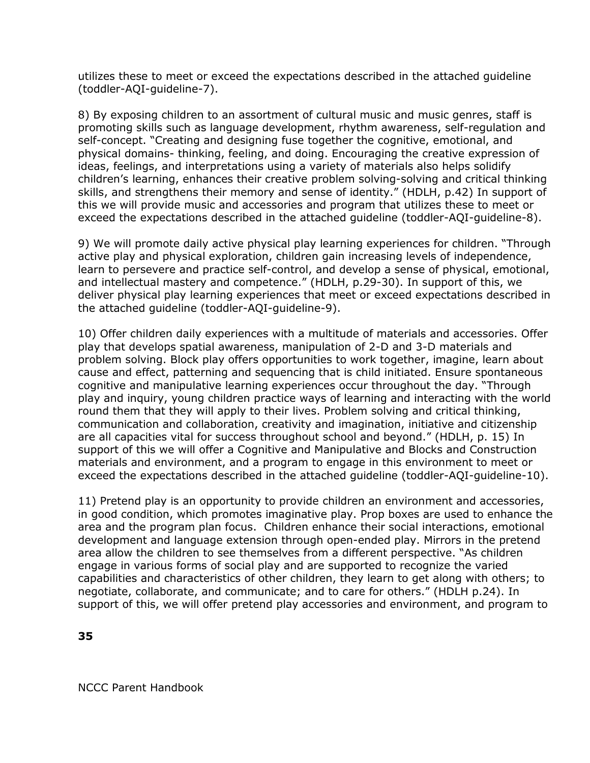utilizes these to meet or exceed the expectations described in the attached guideline (toddler-AQI-guideline-7).

8) By exposing children to an assortment of cultural music and music genres, staff is promoting skills such as language development, rhythm awareness, self-regulation and self-concept. "Creating and designing fuse together the cognitive, emotional, and physical domains- thinking, feeling, and doing. Encouraging the creative expression of ideas, feelings, and interpretations using a variety of materials also helps solidify children's learning, enhances their creative problem solving-solving and critical thinking skills, and strengthens their memory and sense of identity." (HDLH, p.42) In support of this we will provide music and accessories and program that utilizes these to meet or exceed the expectations described in the attached guideline (toddler-AQI-guideline-8).

9) We will promote daily active physical play learning experiences for children. "Through active play and physical exploration, children gain increasing levels of independence, learn to persevere and practice self-control, and develop a sense of physical, emotional, and intellectual mastery and competence." (HDLH, p.29-30). In support of this, we deliver physical play learning experiences that meet or exceed expectations described in the attached guideline (toddler-AQI-guideline-9).

10) Offer children daily experiences with a multitude of materials and accessories. Offer play that develops spatial awareness, manipulation of 2-D and 3-D materials and problem solving. Block play offers opportunities to work together, imagine, learn about cause and effect, patterning and sequencing that is child initiated. Ensure spontaneous cognitive and manipulative learning experiences occur throughout the day. "Through play and inquiry, young children practice ways of learning and interacting with the world round them that they will apply to their lives. Problem solving and critical thinking, communication and collaboration, creativity and imagination, initiative and citizenship are all capacities vital for success throughout school and beyond." (HDLH, p. 15) In support of this we will offer a Cognitive and Manipulative and Blocks and Construction materials and environment, and a program to engage in this environment to meet or exceed the expectations described in the attached guideline (toddler-AQI-guideline-10).

11) Pretend play is an opportunity to provide children an environment and accessories, in good condition, which promotes imaginative play. Prop boxes are used to enhance the area and the program plan focus. Children enhance their social interactions, emotional development and language extension through open-ended play. Mirrors in the pretend area allow the children to see themselves from a different perspective. "As children engage in various forms of social play and are supported to recognize the varied capabilities and characteristics of other children, they learn to get along with others; to negotiate, collaborate, and communicate; and to care for others." (HDLH p.24). In support of this, we will offer pretend play accessories and environment, and program to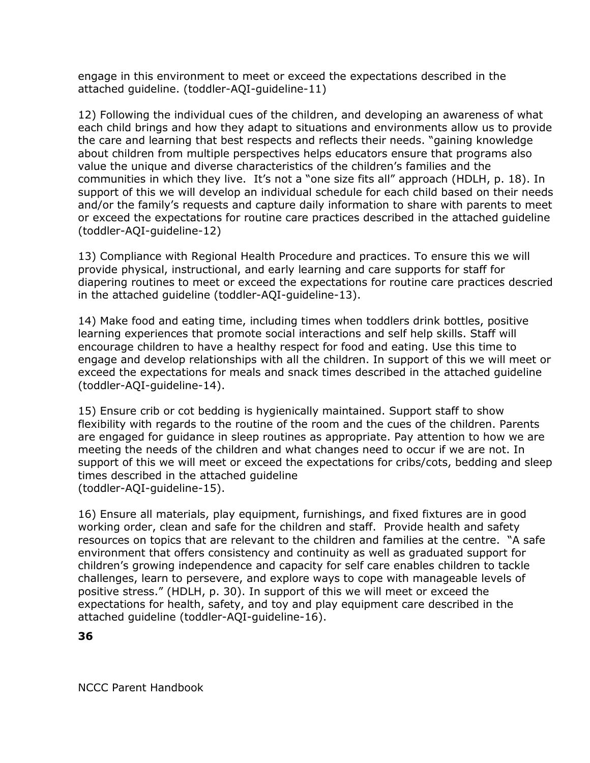engage in this environment to meet or exceed the expectations described in the attached guideline. (toddler-AQI-guideline-11)

12) Following the individual cues of the children, and developing an awareness of what each child brings and how they adapt to situations and environments allow us to provide the care and learning that best respects and reflects their needs. "gaining knowledge about children from multiple perspectives helps educators ensure that programs also value the unique and diverse characteristics of the children's families and the communities in which they live. It's not a "one size fits all" approach (HDLH, p. 18). In support of this we will develop an individual schedule for each child based on their needs and/or the family's requests and capture daily information to share with parents to meet or exceed the expectations for routine care practices described in the attached guideline (toddler-AQI-guideline-12)

13) Compliance with Regional Health Procedure and practices. To ensure this we will provide physical, instructional, and early learning and care supports for staff for diapering routines to meet or exceed the expectations for routine care practices descried in the attached guideline (toddler-AQI-guideline-13).

14) Make food and eating time, including times when toddlers drink bottles, positive learning experiences that promote social interactions and self help skills. Staff will encourage children to have a healthy respect for food and eating. Use this time to engage and develop relationships with all the children. In support of this we will meet or exceed the expectations for meals and snack times described in the attached guideline (toddler-AQI-guideline-14).

15) Ensure crib or cot bedding is hygienically maintained. Support staff to show flexibility with regards to the routine of the room and the cues of the children. Parents are engaged for guidance in sleep routines as appropriate. Pay attention to how we are meeting the needs of the children and what changes need to occur if we are not. In support of this we will meet or exceed the expectations for cribs/cots, bedding and sleep times described in the attached guideline (toddler-AQI-guideline-15).

16) Ensure all materials, play equipment, furnishings, and fixed fixtures are in good working order, clean and safe for the children and staff. Provide health and safety resources on topics that are relevant to the children and families at the centre. "A safe environment that offers consistency and continuity as well as graduated support for children's growing independence and capacity for self care enables children to tackle challenges, learn to persevere, and explore ways to cope with manageable levels of positive stress." (HDLH, p. 30). In support of this we will meet or exceed the expectations for health, safety, and toy and play equipment care described in the attached guideline (toddler-AQI-guideline-16).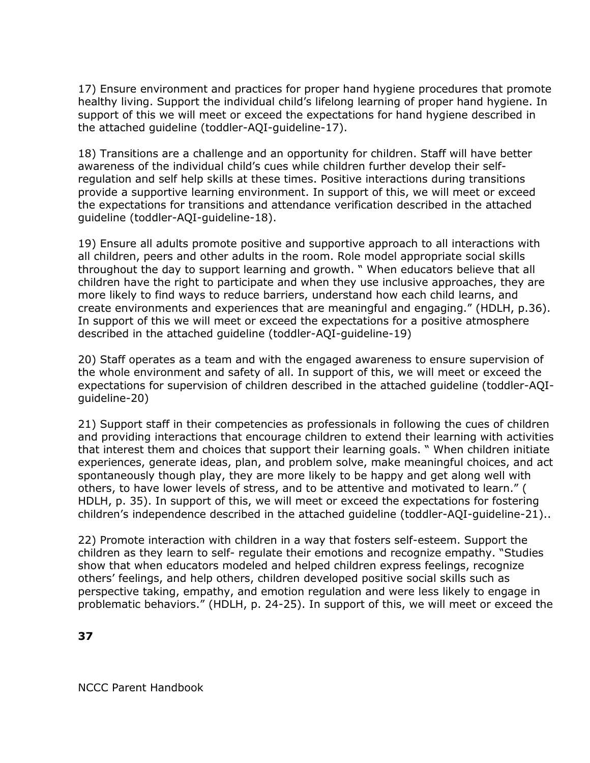17) Ensure environment and practices for proper hand hygiene procedures that promote healthy living. Support the individual child's lifelong learning of proper hand hygiene. In support of this we will meet or exceed the expectations for hand hygiene described in the attached guideline (toddler-AQI-guideline-17).

18) Transitions are a challenge and an opportunity for children. Staff will have better awareness of the individual child's cues while children further develop their selfregulation and self help skills at these times. Positive interactions during transitions provide a supportive learning environment. In support of this, we will meet or exceed the expectations for transitions and attendance verification described in the attached guideline (toddler-AQI-guideline-18).

19) Ensure all adults promote positive and supportive approach to all interactions with all children, peers and other adults in the room. Role model appropriate social skills throughout the day to support learning and growth. " When educators believe that all children have the right to participate and when they use inclusive approaches, they are more likely to find ways to reduce barriers, understand how each child learns, and create environments and experiences that are meaningful and engaging." (HDLH, p.36). In support of this we will meet or exceed the expectations for a positive atmosphere described in the attached guideline (toddler-AQI-guideline-19)

20) Staff operates as a team and with the engaged awareness to ensure supervision of the whole environment and safety of all. In support of this, we will meet or exceed the expectations for supervision of children described in the attached guideline (toddler-AQIguideline-20)

21) Support staff in their competencies as professionals in following the cues of children and providing interactions that encourage children to extend their learning with activities that interest them and choices that support their learning goals. " When children initiate experiences, generate ideas, plan, and problem solve, make meaningful choices, and act spontaneously though play, they are more likely to be happy and get along well with others, to have lower levels of stress, and to be attentive and motivated to learn." ( HDLH, p. 35). In support of this, we will meet or exceed the expectations for fostering children's independence described in the attached guideline (toddler-AQI-guideline-21)..

22) Promote interaction with children in a way that fosters self-esteem. Support the children as they learn to self- regulate their emotions and recognize empathy. "Studies show that when educators modeled and helped children express feelings, recognize others' feelings, and help others, children developed positive social skills such as perspective taking, empathy, and emotion regulation and were less likely to engage in problematic behaviors." (HDLH, p. 24-25). In support of this, we will meet or exceed the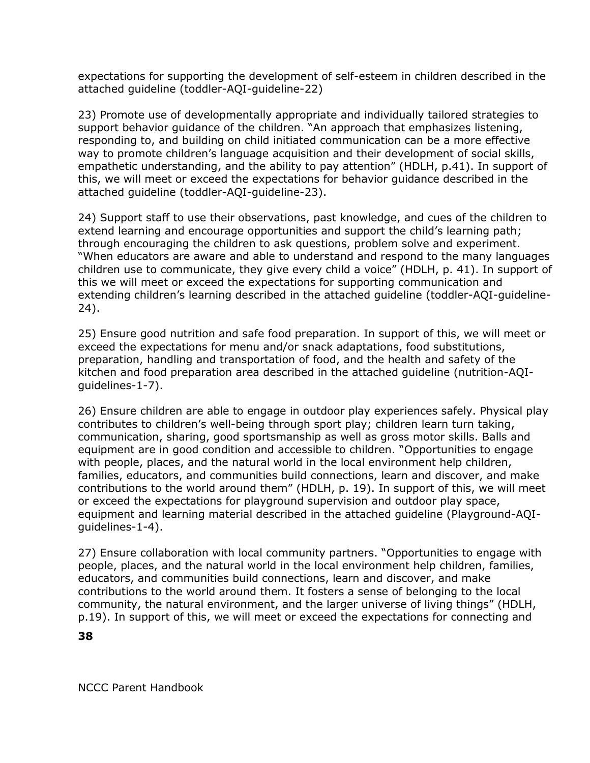expectations for supporting the development of self-esteem in children described in the attached guideline (toddler-AQI-guideline-22)

23) Promote use of developmentally appropriate and individually tailored strategies to support behavior guidance of the children. "An approach that emphasizes listening, responding to, and building on child initiated communication can be a more effective way to promote children's language acquisition and their development of social skills, empathetic understanding, and the ability to pay attention" (HDLH, p.41). In support of this, we will meet or exceed the expectations for behavior guidance described in the attached guideline (toddler-AQI-guideline-23).

24) Support staff to use their observations, past knowledge, and cues of the children to extend learning and encourage opportunities and support the child's learning path; through encouraging the children to ask questions, problem solve and experiment. "When educators are aware and able to understand and respond to the many languages children use to communicate, they give every child a voice" (HDLH, p. 41). In support of this we will meet or exceed the expectations for supporting communication and extending children's learning described in the attached guideline (toddler-AQI-guideline-24).

25) Ensure good nutrition and safe food preparation. In support of this, we will meet or exceed the expectations for menu and/or snack adaptations, food substitutions, preparation, handling and transportation of food, and the health and safety of the kitchen and food preparation area described in the attached guideline (nutrition-AQIguidelines-1-7).

26) Ensure children are able to engage in outdoor play experiences safely. Physical play contributes to children's well-being through sport play; children learn turn taking, communication, sharing, good sportsmanship as well as gross motor skills. Balls and equipment are in good condition and accessible to children. "Opportunities to engage with people, places, and the natural world in the local environment help children, families, educators, and communities build connections, learn and discover, and make contributions to the world around them" (HDLH, p. 19). In support of this, we will meet or exceed the expectations for playground supervision and outdoor play space, equipment and learning material described in the attached guideline (Playground-AQIguidelines-1-4).

27) Ensure collaboration with local community partners. "Opportunities to engage with people, places, and the natural world in the local environment help children, families, educators, and communities build connections, learn and discover, and make contributions to the world around them. It fosters a sense of belonging to the local community, the natural environment, and the larger universe of living things" (HDLH, p.19). In support of this, we will meet or exceed the expectations for connecting and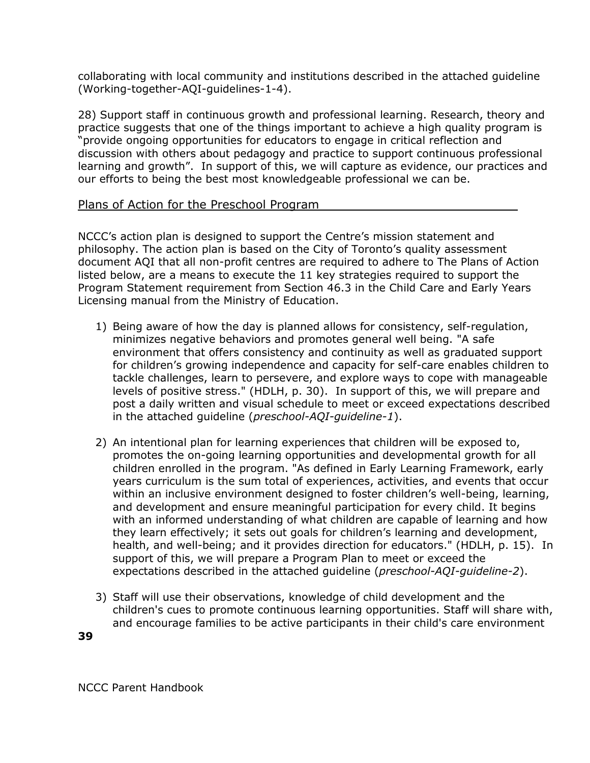collaborating with local community and institutions described in the attached guideline (Working-together-AQI-guidelines-1-4).

28) Support staff in continuous growth and professional learning. Research, theory and practice suggests that one of the things important to achieve a high quality program is "provide ongoing opportunities for educators to engage in critical reflection and discussion with others about pedagogy and practice to support continuous professional learning and growth". In support of this, we will capture as evidence, our practices and our efforts to being the best most knowledgeable professional we can be.

#### Plans of Action for the Preschool Program

NCCC's action plan is designed to support the Centre's mission statement and philosophy. The action plan is based on the City of Toronto's quality assessment document AQI that all non-profit centres are required to adhere to The Plans of Action listed below, are a means to execute the 11 key strategies required to support the Program Statement requirement from Section 46.3 in the Child Care and Early Years Licensing manual from the Ministry of Education.

- 1) Being aware of how the day is planned allows for consistency, self-regulation, minimizes negative behaviors and promotes general well being. "A safe environment that offers consistency and continuity as well as graduated support for children's growing independence and capacity for self-care enables children to tackle challenges, learn to persevere, and explore ways to cope with manageable levels of positive stress." (HDLH, p. 30). In support of this, we will prepare and post a daily written and visual schedule to meet or exceed expectations described in the attached guideline (*preschool-AQI-guideline-1*).
- 2) An intentional plan for learning experiences that children will be exposed to, promotes the on-going learning opportunities and developmental growth for all children enrolled in the program. "As defined in Early Learning Framework, early years curriculum is the sum total of experiences, activities, and events that occur within an inclusive environment designed to foster children's well-being, learning, and development and ensure meaningful participation for every child. It begins with an informed understanding of what children are capable of learning and how they learn effectively; it sets out goals for children's learning and development, health, and well-being; and it provides direction for educators." (HDLH, p. 15). In support of this, we will prepare a Program Plan to meet or exceed the expectations described in the attached guideline (*preschool-AQI-guideline-2*).
- 3) Staff will use their observations, knowledge of child development and the children's cues to promote continuous learning opportunities. Staff will share with, and encourage families to be active participants in their child's care environment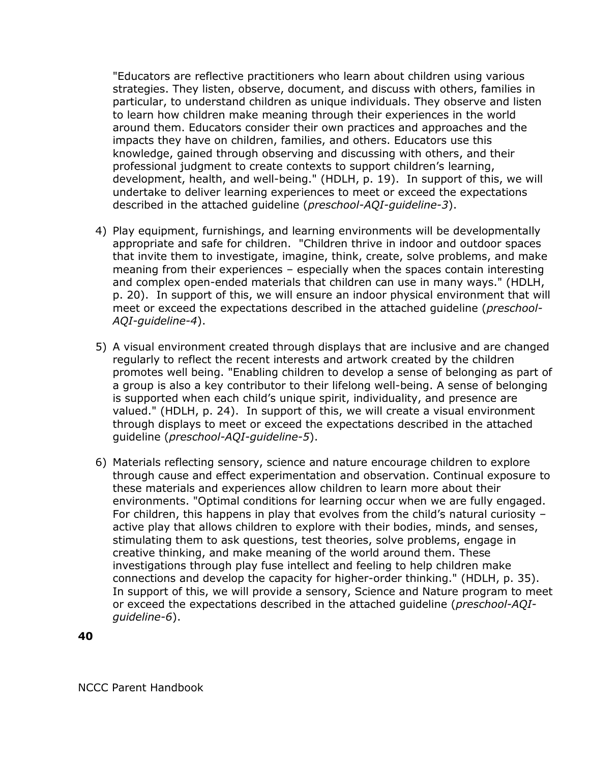"Educators are reflective practitioners who learn about children using various strategies. They listen, observe, document, and discuss with others, families in particular, to understand children as unique individuals. They observe and listen to learn how children make meaning through their experiences in the world around them. Educators consider their own practices and approaches and the impacts they have on children, families, and others. Educators use this knowledge, gained through observing and discussing with others, and their professional judgment to create contexts to support children's learning, development, health, and well-being." (HDLH, p. 19). In support of this, we will undertake to deliver learning experiences to meet or exceed the expectations described in the attached guideline (*preschool-AQI-guideline-3*).

- 4) Play equipment, furnishings, and learning environments will be developmentally appropriate and safe for children. "Children thrive in indoor and outdoor spaces that invite them to investigate, imagine, think, create, solve problems, and make meaning from their experiences – especially when the spaces contain interesting and complex open-ended materials that children can use in many ways." (HDLH, p. 20). In support of this, we will ensure an indoor physical environment that will meet or exceed the expectations described in the attached guideline (*preschool-AQI-guideline-4*).
- 5) A visual environment created through displays that are inclusive and are changed regularly to reflect the recent interests and artwork created by the children promotes well being. "Enabling children to develop a sense of belonging as part of a group is also a key contributor to their lifelong well-being. A sense of belonging is supported when each child's unique spirit, individuality, and presence are valued." (HDLH, p. 24). In support of this, we will create a visual environment through displays to meet or exceed the expectations described in the attached guideline (*preschool-AQI-guideline-5*).
- 6) Materials reflecting sensory, science and nature encourage children to explore through cause and effect experimentation and observation. Continual exposure to these materials and experiences allow children to learn more about their environments. "Optimal conditions for learning occur when we are fully engaged. For children, this happens in play that evolves from the child's natural curiosity – active play that allows children to explore with their bodies, minds, and senses, stimulating them to ask questions, test theories, solve problems, engage in creative thinking, and make meaning of the world around them. These investigations through play fuse intellect and feeling to help children make connections and develop the capacity for higher-order thinking." (HDLH, p. 35). In support of this, we will provide a sensory, Science and Nature program to meet or exceed the expectations described in the attached guideline (*preschool-AQIguideline-6*).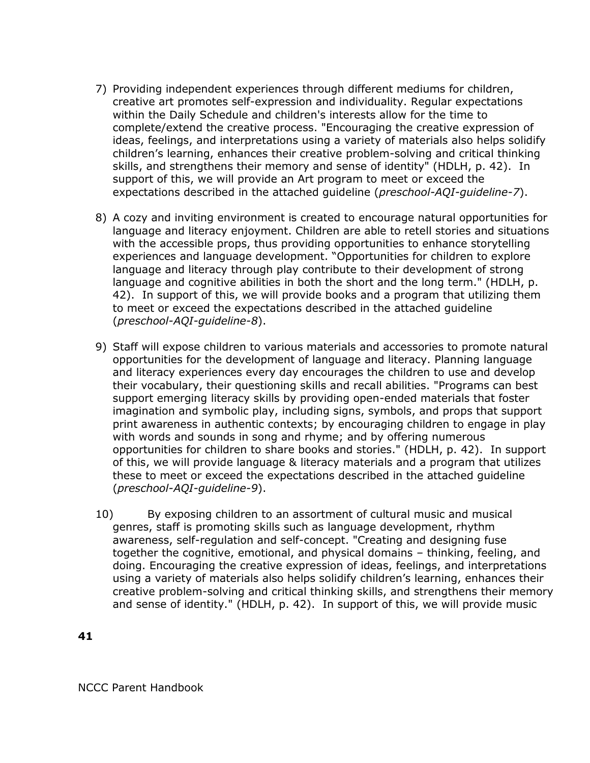- 7) Providing independent experiences through different mediums for children, creative art promotes self-expression and individuality. Regular expectations within the Daily Schedule and children's interests allow for the time to complete/extend the creative process. "Encouraging the creative expression of ideas, feelings, and interpretations using a variety of materials also helps solidify children's learning, enhances their creative problem-solving and critical thinking skills, and strengthens their memory and sense of identity" (HDLH, p. 42). In support of this, we will provide an Art program to meet or exceed the expectations described in the attached guideline (*preschool-AQI-guideline-7*).
- 8) A cozy and inviting environment is created to encourage natural opportunities for language and literacy enjoyment. Children are able to retell stories and situations with the accessible props, thus providing opportunities to enhance storytelling experiences and language development. "Opportunities for children to explore language and literacy through play contribute to their development of strong language and cognitive abilities in both the short and the long term." (HDLH, p. 42). In support of this, we will provide books and a program that utilizing them to meet or exceed the expectations described in the attached guideline (*preschool-AQI-guideline-8*).
- 9) Staff will expose children to various materials and accessories to promote natural opportunities for the development of language and literacy. Planning language and literacy experiences every day encourages the children to use and develop their vocabulary, their questioning skills and recall abilities. "Programs can best support emerging literacy skills by providing open-ended materials that foster imagination and symbolic play, including signs, symbols, and props that support print awareness in authentic contexts; by encouraging children to engage in play with words and sounds in song and rhyme; and by offering numerous opportunities for children to share books and stories." (HDLH, p. 42). In support of this, we will provide language & literacy materials and a program that utilizes these to meet or exceed the expectations described in the attached guideline (*preschool-AQI-guideline-9*).
- 10) By exposing children to an assortment of cultural music and musical genres, staff is promoting skills such as language development, rhythm awareness, self-regulation and self-concept. "Creating and designing fuse together the cognitive, emotional, and physical domains – thinking, feeling, and doing. Encouraging the creative expression of ideas, feelings, and interpretations using a variety of materials also helps solidify children's learning, enhances their creative problem-solving and critical thinking skills, and strengthens their memory and sense of identity." (HDLH, p. 42). In support of this, we will provide music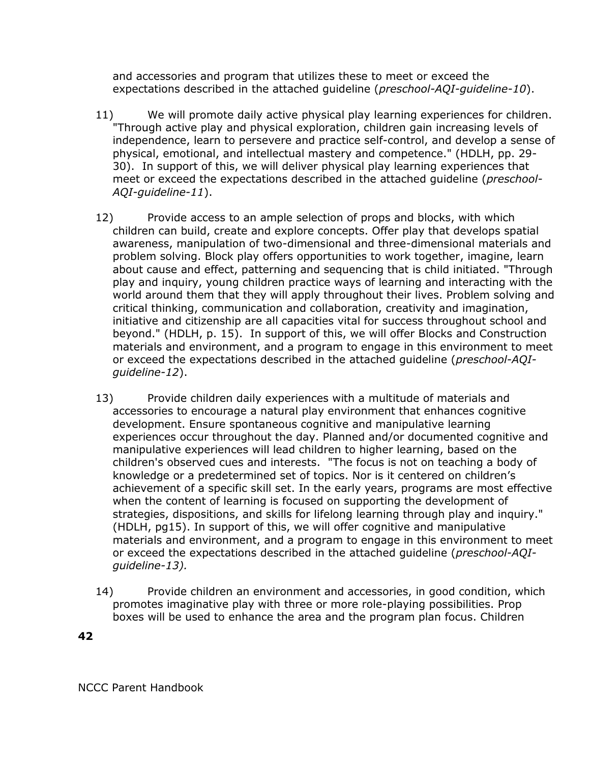and accessories and program that utilizes these to meet or exceed the expectations described in the attached guideline (*preschool-AQI-guideline-10*).

- 11) We will promote daily active physical play learning experiences for children. "Through active play and physical exploration, children gain increasing levels of independence, learn to persevere and practice self-control, and develop a sense of physical, emotional, and intellectual mastery and competence." (HDLH, pp. 29- 30). In support of this, we will deliver physical play learning experiences that meet or exceed the expectations described in the attached guideline (*preschool-AQI-guideline-11*).
- 12) Provide access to an ample selection of props and blocks, with which children can build, create and explore concepts. Offer play that develops spatial awareness, manipulation of two-dimensional and three-dimensional materials and problem solving. Block play offers opportunities to work together, imagine, learn about cause and effect, patterning and sequencing that is child initiated. "Through play and inquiry, young children practice ways of learning and interacting with the world around them that they will apply throughout their lives. Problem solving and critical thinking, communication and collaboration, creativity and imagination, initiative and citizenship are all capacities vital for success throughout school and beyond." (HDLH, p. 15). In support of this, we will offer Blocks and Construction materials and environment, and a program to engage in this environment to meet or exceed the expectations described in the attached guideline (*preschool-AQIguideline-12*).
- 13) Provide children daily experiences with a multitude of materials and accessories to encourage a natural play environment that enhances cognitive development. Ensure spontaneous cognitive and manipulative learning experiences occur throughout the day. Planned and/or documented cognitive and manipulative experiences will lead children to higher learning, based on the children's observed cues and interests. "The focus is not on teaching a body of knowledge or a predetermined set of topics. Nor is it centered on children's achievement of a specific skill set. In the early years, programs are most effective when the content of learning is focused on supporting the development of strategies, dispositions, and skills for lifelong learning through play and inquiry." (HDLH, pg15). In support of this, we will offer cognitive and manipulative materials and environment, and a program to engage in this environment to meet or exceed the expectations described in the attached guideline (*preschool-AQIguideline-13).*
- 14) Provide children an environment and accessories, in good condition, which promotes imaginative play with three or more role-playing possibilities. Prop boxes will be used to enhance the area and the program plan focus. Children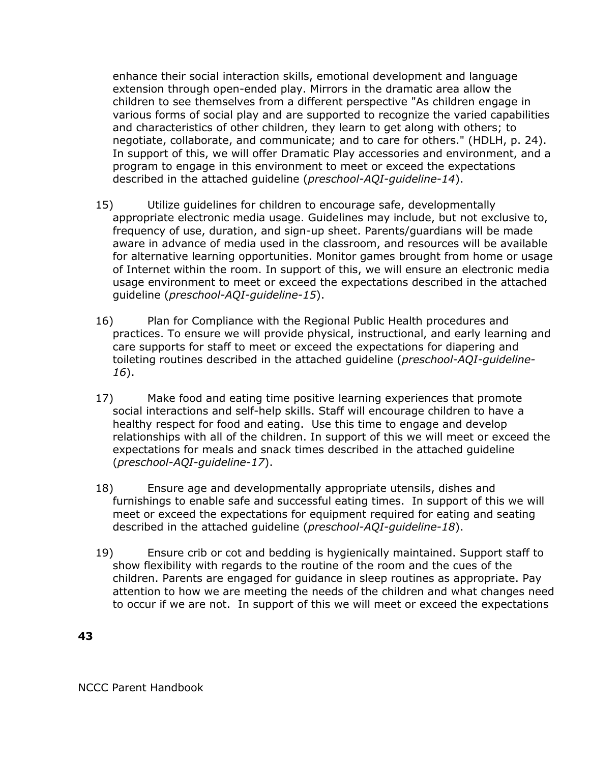enhance their social interaction skills, emotional development and language extension through open-ended play. Mirrors in the dramatic area allow the children to see themselves from a different perspective "As children engage in various forms of social play and are supported to recognize the varied capabilities and characteristics of other children, they learn to get along with others; to negotiate, collaborate, and communicate; and to care for others." (HDLH, p. 24). In support of this, we will offer Dramatic Play accessories and environment, and a program to engage in this environment to meet or exceed the expectations described in the attached guideline (*preschool-AQI-guideline-14*).

- 15) Utilize guidelines for children to encourage safe, developmentally appropriate electronic media usage. Guidelines may include, but not exclusive to, frequency of use, duration, and sign-up sheet. Parents/guardians will be made aware in advance of media used in the classroom, and resources will be available for alternative learning opportunities. Monitor games brought from home or usage of Internet within the room. In support of this, we will ensure an electronic media usage environment to meet or exceed the expectations described in the attached guideline (*preschool-AQI-guideline-15*).
- 16) Plan for Compliance with the Regional Public Health procedures and practices. To ensure we will provide physical, instructional, and early learning and care supports for staff to meet or exceed the expectations for diapering and toileting routines described in the attached guideline (*preschool-AQI-guideline-16*).
- 17) Make food and eating time positive learning experiences that promote social interactions and self-help skills. Staff will encourage children to have a healthy respect for food and eating. Use this time to engage and develop relationships with all of the children. In support of this we will meet or exceed the expectations for meals and snack times described in the attached guideline (*preschool-AQI-guideline-17*).
- 18) Ensure age and developmentally appropriate utensils, dishes and furnishings to enable safe and successful eating times. In support of this we will meet or exceed the expectations for equipment required for eating and seating described in the attached guideline (*preschool-AQI-guideline-18*).
- 19) Ensure crib or cot and bedding is hygienically maintained. Support staff to show flexibility with regards to the routine of the room and the cues of the children. Parents are engaged for guidance in sleep routines as appropriate. Pay attention to how we are meeting the needs of the children and what changes need to occur if we are not. In support of this we will meet or exceed the expectations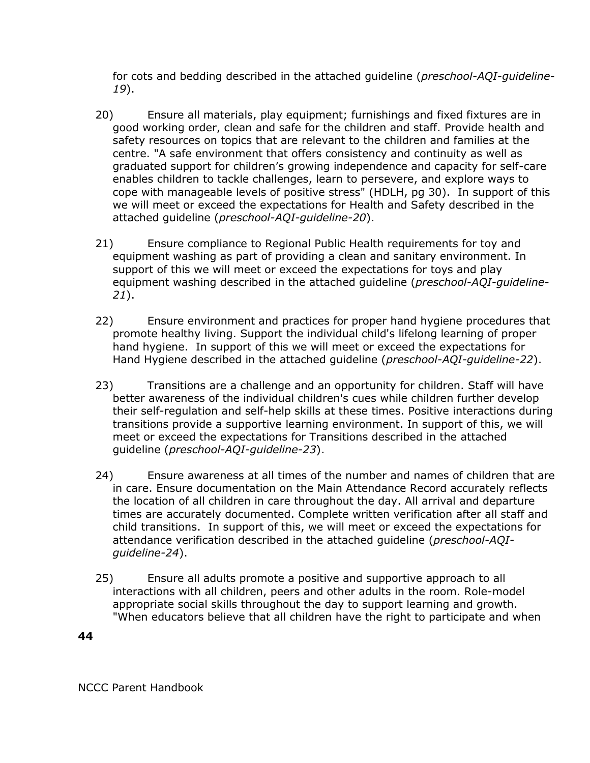for cots and bedding described in the attached guideline (*preschool-AQI-guideline-19*).

- 20) Ensure all materials, play equipment; furnishings and fixed fixtures are in good working order, clean and safe for the children and staff. Provide health and safety resources on topics that are relevant to the children and families at the centre. "A safe environment that offers consistency and continuity as well as graduated support for children's growing independence and capacity for self-care enables children to tackle challenges, learn to persevere, and explore ways to cope with manageable levels of positive stress" (HDLH, pg 30). In support of this we will meet or exceed the expectations for Health and Safety described in the attached guideline (*preschool-AQI-guideline-20*).
- 21) Ensure compliance to Regional Public Health requirements for toy and equipment washing as part of providing a clean and sanitary environment. In support of this we will meet or exceed the expectations for toys and play equipment washing described in the attached guideline (*preschool-AQI-guideline-21*).
- 22) Ensure environment and practices for proper hand hygiene procedures that promote healthy living. Support the individual child's lifelong learning of proper hand hygiene. In support of this we will meet or exceed the expectations for Hand Hygiene described in the attached guideline (*preschool-AQI-guideline-22*).
- 23) Transitions are a challenge and an opportunity for children. Staff will have better awareness of the individual children's cues while children further develop their self-regulation and self-help skills at these times. Positive interactions during transitions provide a supportive learning environment. In support of this, we will meet or exceed the expectations for Transitions described in the attached guideline (*preschool-AQI-guideline-23*).
- 24) Ensure awareness at all times of the number and names of children that are in care. Ensure documentation on the Main Attendance Record accurately reflects the location of all children in care throughout the day. All arrival and departure times are accurately documented. Complete written verification after all staff and child transitions. In support of this, we will meet or exceed the expectations for attendance verification described in the attached guideline (*preschool-AQIguideline-24*).
- 25) Ensure all adults promote a positive and supportive approach to all interactions with all children, peers and other adults in the room. Role-model appropriate social skills throughout the day to support learning and growth. "When educators believe that all children have the right to participate and when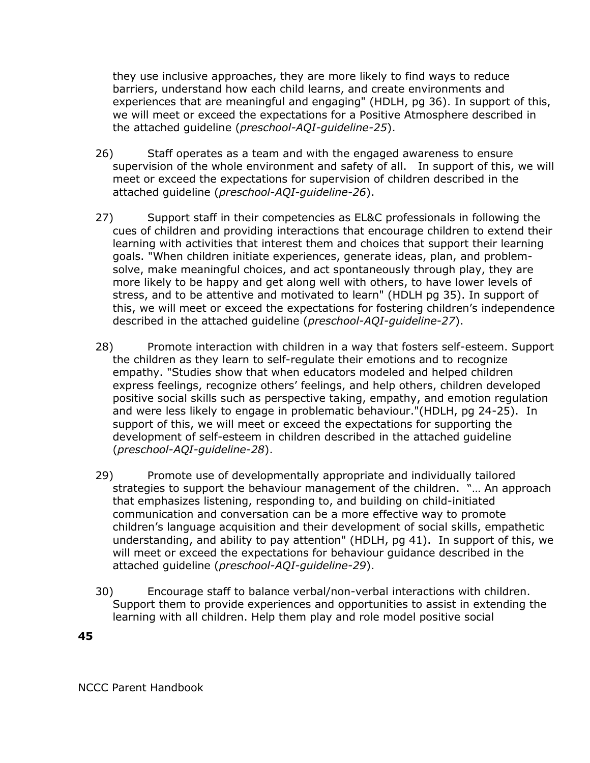they use inclusive approaches, they are more likely to find ways to reduce barriers, understand how each child learns, and create environments and experiences that are meaningful and engaging" (HDLH, pg 36). In support of this, we will meet or exceed the expectations for a Positive Atmosphere described in the attached guideline (*preschool-AQI-guideline-25*).

- 26) Staff operates as a team and with the engaged awareness to ensure supervision of the whole environment and safety of all. In support of this, we will meet or exceed the expectations for supervision of children described in the attached guideline (*preschool-AQI-guideline-26*).
- 27) Support staff in their competencies as EL&C professionals in following the cues of children and providing interactions that encourage children to extend their learning with activities that interest them and choices that support their learning goals. "When children initiate experiences, generate ideas, plan, and problemsolve, make meaningful choices, and act spontaneously through play, they are more likely to be happy and get along well with others, to have lower levels of stress, and to be attentive and motivated to learn" (HDLH pg 35). In support of this, we will meet or exceed the expectations for fostering children's independence described in the attached guideline (*preschool-AQI-guideline-27*).
- 28) Promote interaction with children in a way that fosters self-esteem. Support the children as they learn to self-regulate their emotions and to recognize empathy. "Studies show that when educators modeled and helped children express feelings, recognize others' feelings, and help others, children developed positive social skills such as perspective taking, empathy, and emotion regulation and were less likely to engage in problematic behaviour."(HDLH, pg 24-25). In support of this, we will meet or exceed the expectations for supporting the development of self-esteem in children described in the attached guideline (*preschool-AQI-guideline-28*).
- 29) Promote use of developmentally appropriate and individually tailored strategies to support the behaviour management of the children. "… An approach that emphasizes listening, responding to, and building on child-initiated communication and conversation can be a more effective way to promote children's language acquisition and their development of social skills, empathetic understanding, and ability to pay attention" (HDLH, pg 41). In support of this, we will meet or exceed the expectations for behaviour guidance described in the attached guideline (*preschool-AQI-guideline-29*).
- 30) Encourage staff to balance verbal/non-verbal interactions with children. Support them to provide experiences and opportunities to assist in extending the learning with all children. Help them play and role model positive social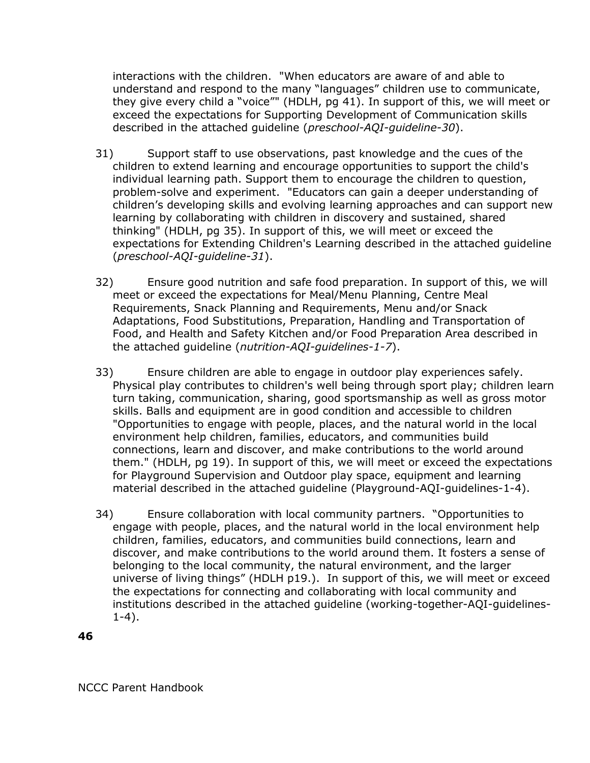interactions with the children. "When educators are aware of and able to understand and respond to the many "languages" children use to communicate, they give every child a "voice"" (HDLH, pg 41). In support of this, we will meet or exceed the expectations for Supporting Development of Communication skills described in the attached guideline (*preschool-AQI-guideline-30*).

- 31) Support staff to use observations, past knowledge and the cues of the children to extend learning and encourage opportunities to support the child's individual learning path. Support them to encourage the children to question, problem-solve and experiment. "Educators can gain a deeper understanding of children's developing skills and evolving learning approaches and can support new learning by collaborating with children in discovery and sustained, shared thinking" (HDLH, pg 35). In support of this, we will meet or exceed the expectations for Extending Children's Learning described in the attached guideline (*preschool-AQI-guideline-31*).
- 32) Ensure good nutrition and safe food preparation. In support of this, we will meet or exceed the expectations for Meal/Menu Planning, Centre Meal Requirements, Snack Planning and Requirements, Menu and/or Snack Adaptations, Food Substitutions, Preparation, Handling and Transportation of Food, and Health and Safety Kitchen and/or Food Preparation Area described in the attached guideline (*nutrition-AQI-guidelines-1-7*).
- 33) Ensure children are able to engage in outdoor play experiences safely. Physical play contributes to children's well being through sport play; children learn turn taking, communication, sharing, good sportsmanship as well as gross motor skills. Balls and equipment are in good condition and accessible to children "Opportunities to engage with people, places, and the natural world in the local environment help children, families, educators, and communities build connections, learn and discover, and make contributions to the world around them." (HDLH, pg 19). In support of this, we will meet or exceed the expectations for Playground Supervision and Outdoor play space, equipment and learning material described in the attached guideline (Playground-AQI-guidelines-1-4).
- 34) Ensure collaboration with local community partners. "Opportunities to engage with people, places, and the natural world in the local environment help children, families, educators, and communities build connections, learn and discover, and make contributions to the world around them. It fosters a sense of belonging to the local community, the natural environment, and the larger universe of living things" (HDLH p19.). In support of this, we will meet or exceed the expectations for connecting and collaborating with local community and institutions described in the attached guideline (working-together-AQI-guidelines-1-4).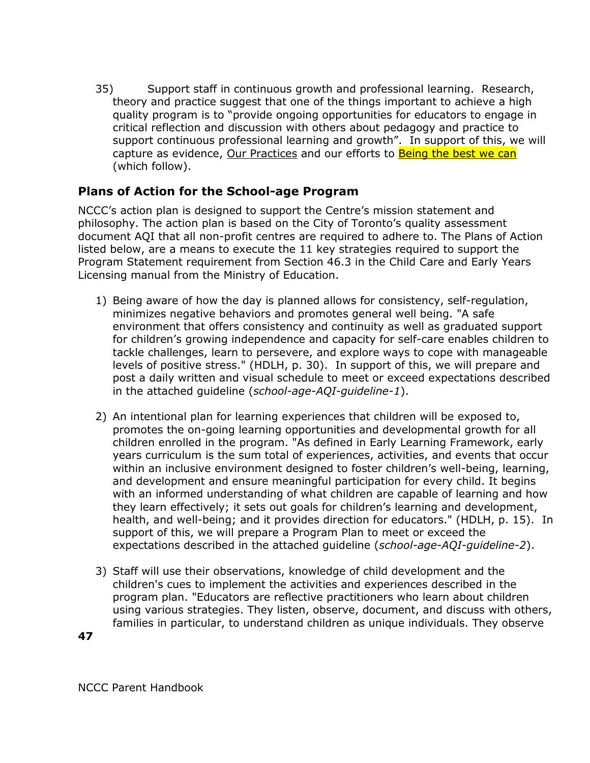35) Support staff in continuous growth and professional learning. Research, theory and practice suggest that one of the things important to achieve a high quality program is to "provide ongoing opportunities for educators to engage in critical reflection and discussion with others about pedagogy and practice to support continuous professional learning and growth". In support of this, we will capture as evidence, Our Practices and our efforts to **Being the best we can** (which follow).

#### **Plans of Action for the School-age Program**

NCCC's action plan is designed to support the Centre's mission statement and philosophy. The action plan is based on the City of Toronto's quality assessment document AQI that all non-profit centres are required to adhere to. The Plans of Action listed below, are a means to execute the 11 key strategies required to support the Program Statement requirement from Section 46.3 in the Child Care and Early Years Licensing manual from the Ministry of Education.

- 1) Being aware of how the day is planned allows for consistency, self-regulation, minimizes negative behaviors and promotes general well being. "A safe environment that offers consistency and continuity as well as graduated support for children's growing independence and capacity for self-care enables children to tackle challenges, learn to persevere, and explore ways to cope with manageable levels of positive stress." (HDLH, p. 30). In support of this, we will prepare and post a daily written and visual schedule to meet or exceed expectations described in the attached guideline (*school-age-AQI-guideline-1*).
- 2) An intentional plan for learning experiences that children will be exposed to, promotes the on-going learning opportunities and developmental growth for all children enrolled in the program. "As defined in Early Learning Framework, early years curriculum is the sum total of experiences, activities, and events that occur within an inclusive environment designed to foster children's well-being, learning, and development and ensure meaningful participation for every child. It begins with an informed understanding of what children are capable of learning and how they learn effectively; it sets out goals for children's learning and development, health, and well-being; and it provides direction for educators." (HDLH, p. 15). In support of this, we will prepare a Program Plan to meet or exceed the expectations described in the attached guideline (*school-age-AQI-guideline-2*).
- 3) Staff will use their observations, knowledge of child development and the children's cues to implement the activities and experiences described in the program plan. "Educators are reflective practitioners who learn about children using various strategies. They listen, observe, document, and discuss with others, families in particular, to understand children as unique individuals. They observe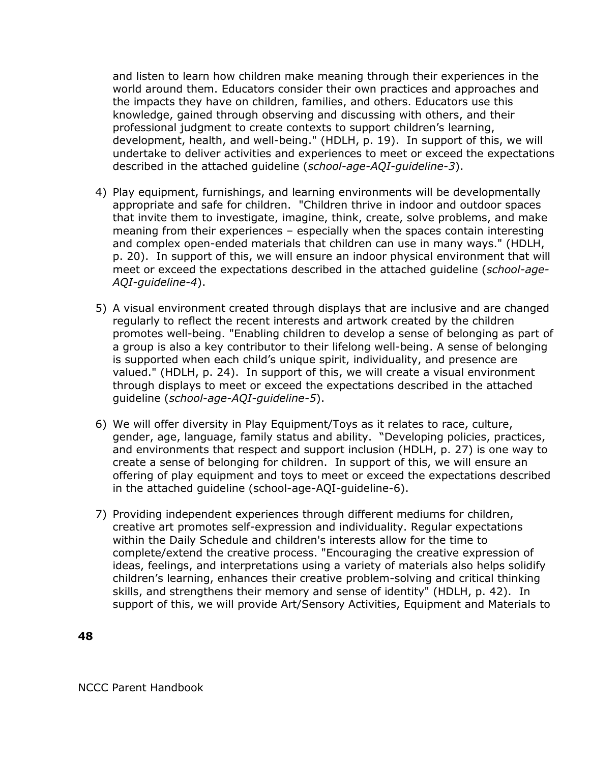and listen to learn how children make meaning through their experiences in the world around them. Educators consider their own practices and approaches and the impacts they have on children, families, and others. Educators use this knowledge, gained through observing and discussing with others, and their professional judgment to create contexts to support children's learning, development, health, and well-being." (HDLH, p. 19). In support of this, we will undertake to deliver activities and experiences to meet or exceed the expectations described in the attached guideline (*school-age-AQI-guideline-3*).

- 4) Play equipment, furnishings, and learning environments will be developmentally appropriate and safe for children. "Children thrive in indoor and outdoor spaces that invite them to investigate, imagine, think, create, solve problems, and make meaning from their experiences – especially when the spaces contain interesting and complex open-ended materials that children can use in many ways." (HDLH, p. 20). In support of this, we will ensure an indoor physical environment that will meet or exceed the expectations described in the attached guideline (*school-age-AQI-guideline-4*).
- 5) A visual environment created through displays that are inclusive and are changed regularly to reflect the recent interests and artwork created by the children promotes well-being. "Enabling children to develop a sense of belonging as part of a group is also a key contributor to their lifelong well-being. A sense of belonging is supported when each child's unique spirit, individuality, and presence are valued." (HDLH, p. 24). In support of this, we will create a visual environment through displays to meet or exceed the expectations described in the attached guideline (*school-age-AQI-guideline-5*).
- 6) We will offer diversity in Play Equipment/Toys as it relates to race, culture, gender, age, language, family status and ability. "Developing policies, practices, and environments that respect and support inclusion (HDLH, p. 27) is one way to create a sense of belonging for children. In support of this, we will ensure an offering of play equipment and toys to meet or exceed the expectations described in the attached guideline (school-age-AQI-guideline-6).
- 7) Providing independent experiences through different mediums for children, creative art promotes self-expression and individuality. Regular expectations within the Daily Schedule and children's interests allow for the time to complete/extend the creative process. "Encouraging the creative expression of ideas, feelings, and interpretations using a variety of materials also helps solidify children's learning, enhances their creative problem-solving and critical thinking skills, and strengthens their memory and sense of identity" (HDLH, p. 42). In support of this, we will provide Art/Sensory Activities, Equipment and Materials to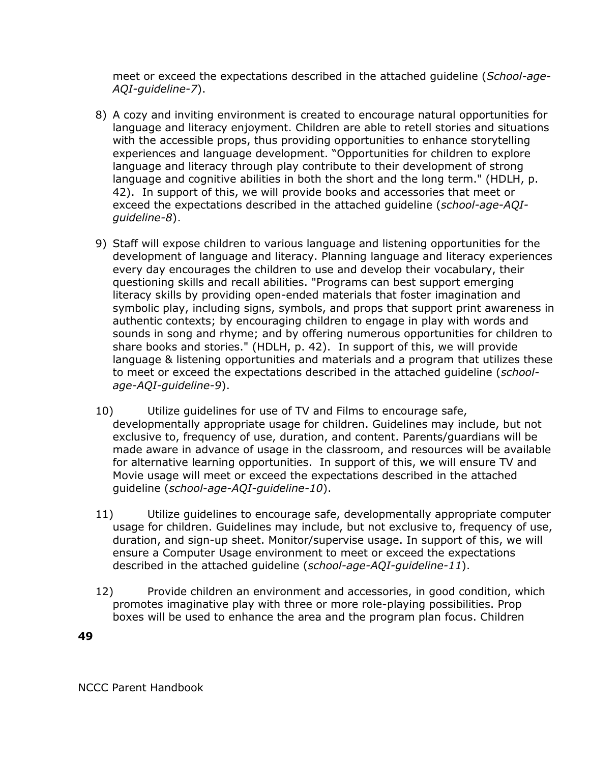meet or exceed the expectations described in the attached guideline (*School-age-AQI-guideline-7*).

- 8) A cozy and inviting environment is created to encourage natural opportunities for language and literacy enjoyment. Children are able to retell stories and situations with the accessible props, thus providing opportunities to enhance storytelling experiences and language development. "Opportunities for children to explore language and literacy through play contribute to their development of strong language and cognitive abilities in both the short and the long term." (HDLH, p. 42). In support of this, we will provide books and accessories that meet or exceed the expectations described in the attached guideline (*school-age-AQIguideline-8*).
- 9) Staff will expose children to various language and listening opportunities for the development of language and literacy. Planning language and literacy experiences every day encourages the children to use and develop their vocabulary, their questioning skills and recall abilities. "Programs can best support emerging literacy skills by providing open-ended materials that foster imagination and symbolic play, including signs, symbols, and props that support print awareness in authentic contexts; by encouraging children to engage in play with words and sounds in song and rhyme; and by offering numerous opportunities for children to share books and stories." (HDLH, p. 42). In support of this, we will provide language & listening opportunities and materials and a program that utilizes these to meet or exceed the expectations described in the attached guideline (*schoolage-AQI-guideline-9*).
- 10) Utilize guidelines for use of TV and Films to encourage safe, developmentally appropriate usage for children. Guidelines may include, but not exclusive to, frequency of use, duration, and content. Parents/guardians will be made aware in advance of usage in the classroom, and resources will be available for alternative learning opportunities. In support of this, we will ensure TV and Movie usage will meet or exceed the expectations described in the attached guideline (*school-age-AQI-guideline-10*).
- 11) Utilize guidelines to encourage safe, developmentally appropriate computer usage for children. Guidelines may include, but not exclusive to, frequency of use, duration, and sign-up sheet. Monitor/supervise usage. In support of this, we will ensure a Computer Usage environment to meet or exceed the expectations described in the attached guideline (*school-age-AQI-guideline-11*).
- 12) Provide children an environment and accessories, in good condition, which promotes imaginative play with three or more role-playing possibilities. Prop boxes will be used to enhance the area and the program plan focus. Children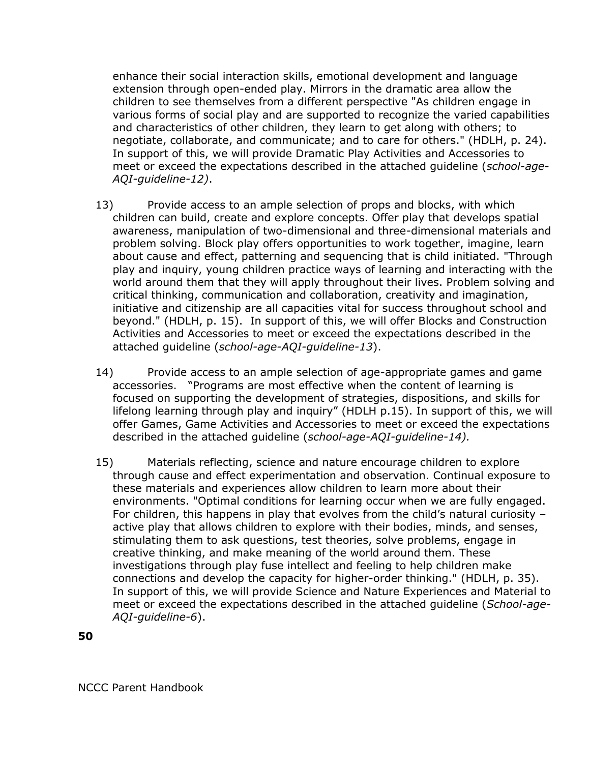enhance their social interaction skills, emotional development and language extension through open-ended play. Mirrors in the dramatic area allow the children to see themselves from a different perspective "As children engage in various forms of social play and are supported to recognize the varied capabilities and characteristics of other children, they learn to get along with others; to negotiate, collaborate, and communicate; and to care for others." (HDLH, p. 24). In support of this, we will provide Dramatic Play Activities and Accessories to meet or exceed the expectations described in the attached guideline (*school-age-AQI-guideline-12)*.

- 13) Provide access to an ample selection of props and blocks, with which children can build, create and explore concepts. Offer play that develops spatial awareness, manipulation of two-dimensional and three-dimensional materials and problem solving. Block play offers opportunities to work together, imagine, learn about cause and effect, patterning and sequencing that is child initiated. "Through play and inquiry, young children practice ways of learning and interacting with the world around them that they will apply throughout their lives. Problem solving and critical thinking, communication and collaboration, creativity and imagination, initiative and citizenship are all capacities vital for success throughout school and beyond." (HDLH, p. 15). In support of this, we will offer Blocks and Construction Activities and Accessories to meet or exceed the expectations described in the attached guideline (*school-age-AQI-guideline-13*).
- 14) Provide access to an ample selection of age-appropriate games and game accessories. "Programs are most effective when the content of learning is focused on supporting the development of strategies, dispositions, and skills for lifelong learning through play and inquiry" (HDLH p.15). In support of this, we will offer Games, Game Activities and Accessories to meet or exceed the expectations described in the attached guideline (*school-age-AQI-guideline-14).*
- 15) Materials reflecting, science and nature encourage children to explore through cause and effect experimentation and observation. Continual exposure to these materials and experiences allow children to learn more about their environments. "Optimal conditions for learning occur when we are fully engaged. For children, this happens in play that evolves from the child's natural curiosity – active play that allows children to explore with their bodies, minds, and senses, stimulating them to ask questions, test theories, solve problems, engage in creative thinking, and make meaning of the world around them. These investigations through play fuse intellect and feeling to help children make connections and develop the capacity for higher-order thinking." (HDLH, p. 35). In support of this, we will provide Science and Nature Experiences and Material to meet or exceed the expectations described in the attached guideline (*School-age-AQI-guideline-6*).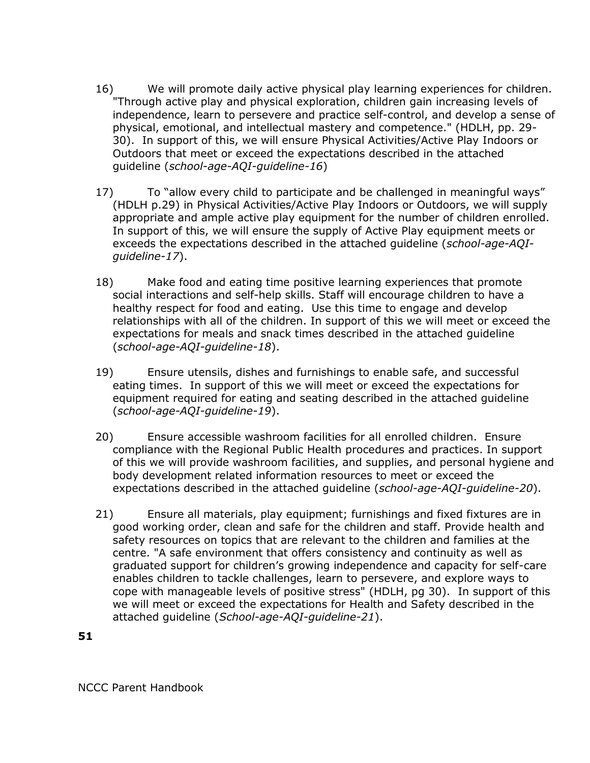- 16) We will promote daily active physical play learning experiences for children. "Through active play and physical exploration, children gain increasing levels of independence, learn to persevere and practice self-control, and develop a sense of physical, emotional, and intellectual mastery and competence." (HDLH, pp. 29- 30). In support of this, we will ensure Physical Activities/Active Play Indoors or Outdoors that meet or exceed the expectations described in the attached guideline (*school-age-AQI-guideline-16*)
- 17) To "allow every child to participate and be challenged in meaningful ways" (HDLH p.29) in Physical Activities/Active Play Indoors or Outdoors, we will supply appropriate and ample active play equipment for the number of children enrolled. In support of this, we will ensure the supply of Active Play equipment meets or exceeds the expectations described in the attached guideline (*school-age-AQIguideline-17*).
- 18) Make food and eating time positive learning experiences that promote social interactions and self-help skills. Staff will encourage children to have a healthy respect for food and eating. Use this time to engage and develop relationships with all of the children. In support of this we will meet or exceed the expectations for meals and snack times described in the attached guideline (*school-age-AQI-guideline-18*).
- 19) Ensure utensils, dishes and furnishings to enable safe, and successful eating times. In support of this we will meet or exceed the expectations for equipment required for eating and seating described in the attached guideline (*school-age-AQI-guideline-19*).
- 20) Ensure accessible washroom facilities for all enrolled children. Ensure compliance with the Regional Public Health procedures and practices. In support of this we will provide washroom facilities, and supplies, and personal hygiene and body development related information resources to meet or exceed the expectations described in the attached guideline (*school-age-AQI-guideline-20*).
- 21) Ensure all materials, play equipment; furnishings and fixed fixtures are in good working order, clean and safe for the children and staff. Provide health and safety resources on topics that are relevant to the children and families at the centre. "A safe environment that offers consistency and continuity as well as graduated support for children's growing independence and capacity for self-care enables children to tackle challenges, learn to persevere, and explore ways to cope with manageable levels of positive stress" (HDLH, pg 30). In support of this we will meet or exceed the expectations for Health and Safety described in the attached guideline (*School-age-AQI-guideline-21*).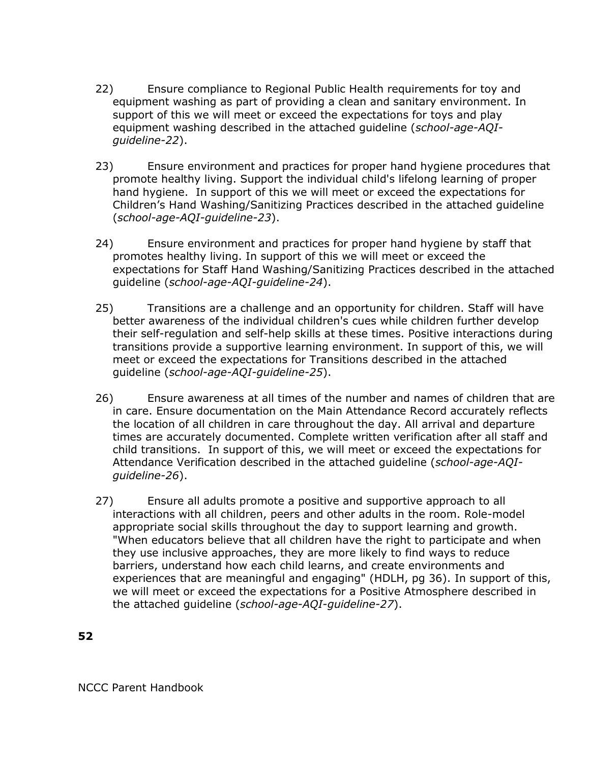- 22) Ensure compliance to Regional Public Health requirements for toy and equipment washing as part of providing a clean and sanitary environment. In support of this we will meet or exceed the expectations for toys and play equipment washing described in the attached guideline (*school-age-AQIguideline-22*).
- 23) Ensure environment and practices for proper hand hygiene procedures that promote healthy living. Support the individual child's lifelong learning of proper hand hygiene. In support of this we will meet or exceed the expectations for Children's Hand Washing/Sanitizing Practices described in the attached guideline (*school-age-AQI-guideline-23*).
- 24) Ensure environment and practices for proper hand hygiene by staff that promotes healthy living. In support of this we will meet or exceed the expectations for Staff Hand Washing/Sanitizing Practices described in the attached guideline (*school-age-AQI-guideline-24*).
- 25) Transitions are a challenge and an opportunity for children. Staff will have better awareness of the individual children's cues while children further develop their self-regulation and self-help skills at these times. Positive interactions during transitions provide a supportive learning environment. In support of this, we will meet or exceed the expectations for Transitions described in the attached guideline (*school-age-AQI-guideline-25*).
- 26) Ensure awareness at all times of the number and names of children that are in care. Ensure documentation on the Main Attendance Record accurately reflects the location of all children in care throughout the day. All arrival and departure times are accurately documented. Complete written verification after all staff and child transitions. In support of this, we will meet or exceed the expectations for Attendance Verification described in the attached guideline (*school-age-AQIguideline-26*).
- 27) Ensure all adults promote a positive and supportive approach to all interactions with all children, peers and other adults in the room. Role-model appropriate social skills throughout the day to support learning and growth. "When educators believe that all children have the right to participate and when they use inclusive approaches, they are more likely to find ways to reduce barriers, understand how each child learns, and create environments and experiences that are meaningful and engaging" (HDLH, pg 36). In support of this, we will meet or exceed the expectations for a Positive Atmosphere described in the attached guideline (*school-age-AQI-guideline-27*).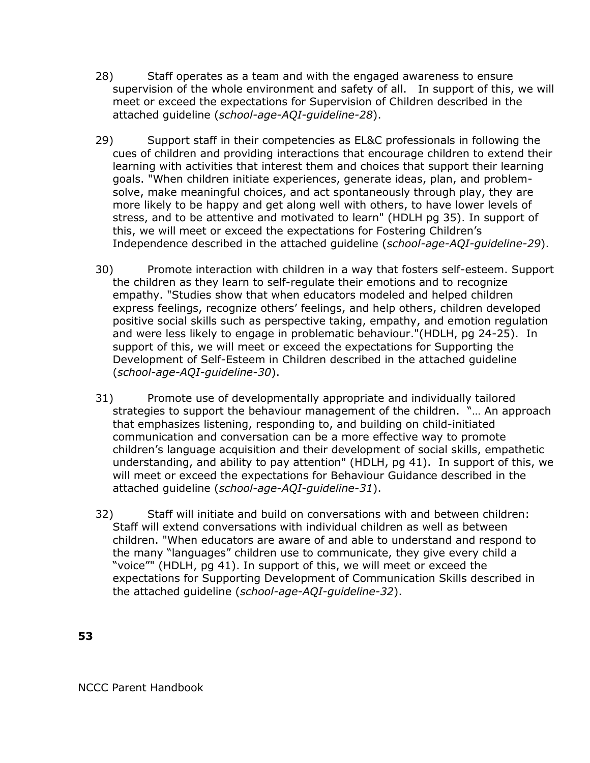- 28) Staff operates as a team and with the engaged awareness to ensure supervision of the whole environment and safety of all. In support of this, we will meet or exceed the expectations for Supervision of Children described in the attached guideline (*school-age-AQI-guideline-28*).
- 29) Support staff in their competencies as EL&C professionals in following the cues of children and providing interactions that encourage children to extend their learning with activities that interest them and choices that support their learning goals. "When children initiate experiences, generate ideas, plan, and problemsolve, make meaningful choices, and act spontaneously through play, they are more likely to be happy and get along well with others, to have lower levels of stress, and to be attentive and motivated to learn" (HDLH pg 35). In support of this, we will meet or exceed the expectations for Fostering Children's Independence described in the attached guideline (*school-age-AQI-guideline-29*).
- 30) Promote interaction with children in a way that fosters self-esteem. Support the children as they learn to self-regulate their emotions and to recognize empathy. "Studies show that when educators modeled and helped children express feelings, recognize others' feelings, and help others, children developed positive social skills such as perspective taking, empathy, and emotion regulation and were less likely to engage in problematic behaviour."(HDLH, pg 24-25). In support of this, we will meet or exceed the expectations for Supporting the Development of Self-Esteem in Children described in the attached guideline (*school-age-AQI-guideline-30*).
- 31) Promote use of developmentally appropriate and individually tailored strategies to support the behaviour management of the children. "… An approach that emphasizes listening, responding to, and building on child-initiated communication and conversation can be a more effective way to promote children's language acquisition and their development of social skills, empathetic understanding, and ability to pay attention" (HDLH, pg 41). In support of this, we will meet or exceed the expectations for Behaviour Guidance described in the attached guideline (*school-age-AQI-guideline-31*).
- 32) Staff will initiate and build on conversations with and between children: Staff will extend conversations with individual children as well as between children. "When educators are aware of and able to understand and respond to the many "languages" children use to communicate, they give every child a "voice"" (HDLH, pg 41). In support of this, we will meet or exceed the expectations for Supporting Development of Communication Skills described in the attached guideline (*school-age-AQI-guideline-32*).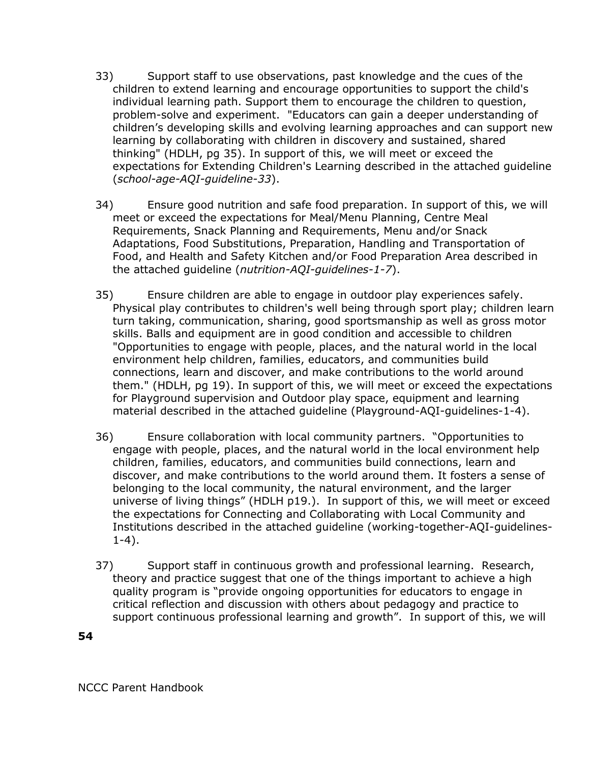- 33) Support staff to use observations, past knowledge and the cues of the children to extend learning and encourage opportunities to support the child's individual learning path. Support them to encourage the children to question, problem-solve and experiment. "Educators can gain a deeper understanding of children's developing skills and evolving learning approaches and can support new learning by collaborating with children in discovery and sustained, shared thinking" (HDLH, pg 35). In support of this, we will meet or exceed the expectations for Extending Children's Learning described in the attached guideline (*school-age-AQI-guideline-33*).
- 34) Ensure good nutrition and safe food preparation. In support of this, we will meet or exceed the expectations for Meal/Menu Planning, Centre Meal Requirements, Snack Planning and Requirements, Menu and/or Snack Adaptations, Food Substitutions, Preparation, Handling and Transportation of Food, and Health and Safety Kitchen and/or Food Preparation Area described in the attached guideline (*nutrition-AQI-guidelines-1-7*).
- 35) Ensure children are able to engage in outdoor play experiences safely. Physical play contributes to children's well being through sport play; children learn turn taking, communication, sharing, good sportsmanship as well as gross motor skills. Balls and equipment are in good condition and accessible to children "Opportunities to engage with people, places, and the natural world in the local environment help children, families, educators, and communities build connections, learn and discover, and make contributions to the world around them." (HDLH, pg 19). In support of this, we will meet or exceed the expectations for Playground supervision and Outdoor play space, equipment and learning material described in the attached guideline (Playground-AQI-guidelines-1-4).
- 36) Ensure collaboration with local community partners. "Opportunities to engage with people, places, and the natural world in the local environment help children, families, educators, and communities build connections, learn and discover, and make contributions to the world around them. It fosters a sense of belonging to the local community, the natural environment, and the larger universe of living things" (HDLH p19.). In support of this, we will meet or exceed the expectations for Connecting and Collaborating with Local Community and Institutions described in the attached guideline (working-together-AQI-guidelines-1-4).
- 37) Support staff in continuous growth and professional learning. Research, theory and practice suggest that one of the things important to achieve a high quality program is "provide ongoing opportunities for educators to engage in critical reflection and discussion with others about pedagogy and practice to support continuous professional learning and growth". In support of this, we will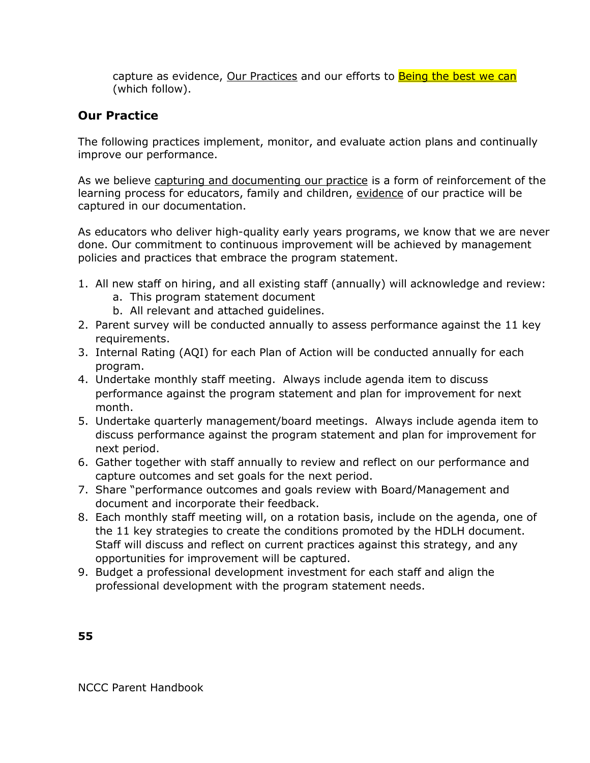capture as evidence, Our Practices and our efforts to **Being the best we can** (which follow).

#### **Our Practice**

The following practices implement, monitor, and evaluate action plans and continually improve our performance.

As we believe capturing and documenting our practice is a form of reinforcement of the learning process for educators, family and children, evidence of our practice will be captured in our documentation.

As educators who deliver high-quality early years programs, we know that we are never done. Our commitment to continuous improvement will be achieved by management policies and practices that embrace the program statement.

- 1. All new staff on hiring, and all existing staff (annually) will acknowledge and review:
	- a. This program statement document
	- b. All relevant and attached guidelines.
- 2. Parent survey will be conducted annually to assess performance against the 11 key requirements.
- 3. Internal Rating (AQI) for each Plan of Action will be conducted annually for each program.
- 4. Undertake monthly staff meeting. Always include agenda item to discuss performance against the program statement and plan for improvement for next month.
- 5. Undertake quarterly management/board meetings. Always include agenda item to discuss performance against the program statement and plan for improvement for next period.
- 6. Gather together with staff annually to review and reflect on our performance and capture outcomes and set goals for the next period.
- 7. Share "performance outcomes and goals review with Board/Management and document and incorporate their feedback.
- 8. Each monthly staff meeting will, on a rotation basis, include on the agenda, one of the 11 key strategies to create the conditions promoted by the HDLH document. Staff will discuss and reflect on current practices against this strategy, and any opportunities for improvement will be captured.
- 9. Budget a professional development investment for each staff and align the professional development with the program statement needs.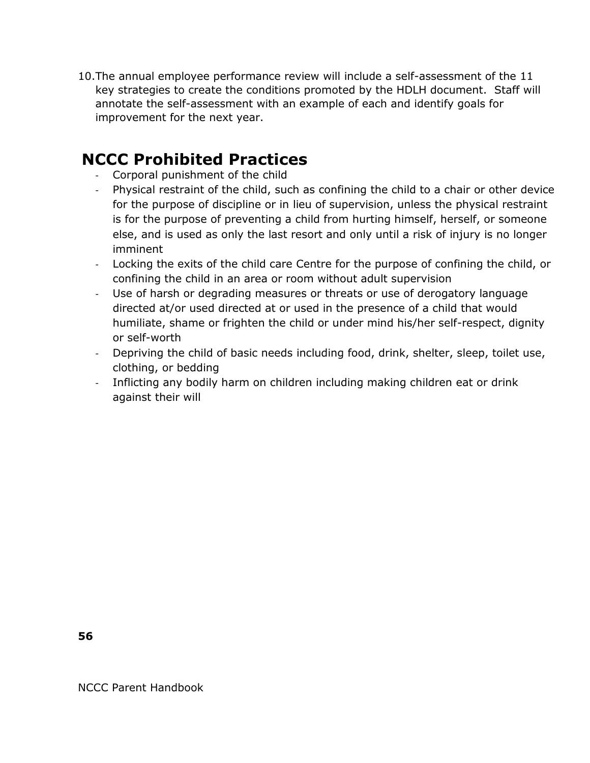10.The annual employee performance review will include a self-assessment of the 11 key strategies to create the conditions promoted by the HDLH document. Staff will annotate the self-assessment with an example of each and identify goals for improvement for the next year.

### **NCCC Prohibited Practices**

- Corporal punishment of the child
- Physical restraint of the child, such as confining the child to a chair or other device for the purpose of discipline or in lieu of supervision, unless the physical restraint is for the purpose of preventing a child from hurting himself, herself, or someone else, and is used as only the last resort and only until a risk of injury is no longer imminent
- Locking the exits of the child care Centre for the purpose of confining the child, or confining the child in an area or room without adult supervision
- Use of harsh or degrading measures or threats or use of derogatory language directed at/or used directed at or used in the presence of a child that would humiliate, shame or frighten the child or under mind his/her self-respect, dignity or self-worth
- Depriving the child of basic needs including food, drink, shelter, sleep, toilet use, clothing, or bedding
- Inflicting any bodily harm on children including making children eat or drink against their will